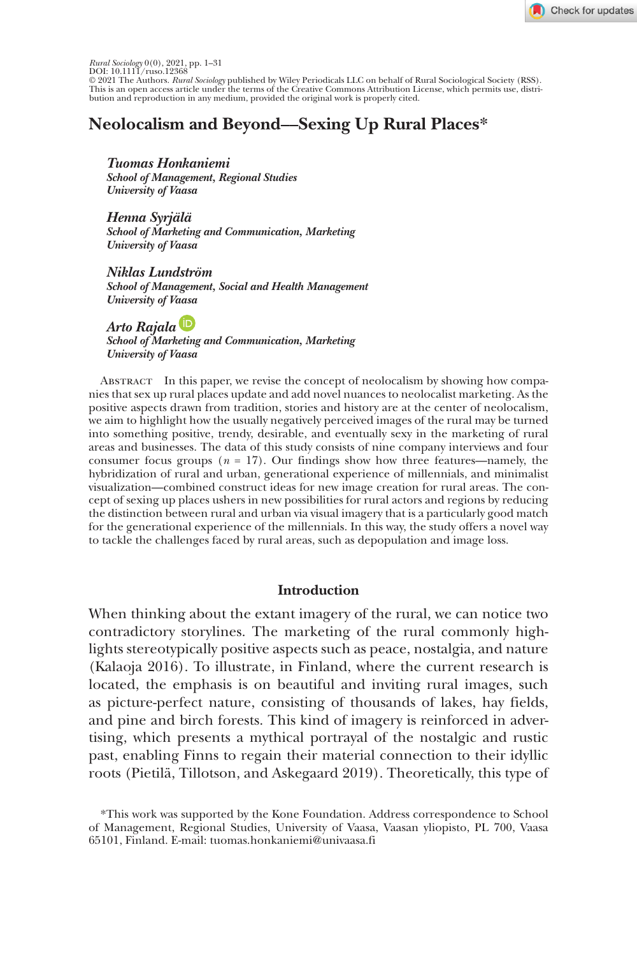

*Rural Sociolog*y 0(0), 2021, pp. 1–31<br>DOI: 10.1111/ruso.12368<br>© 2021 The Authors. *Rural Sociolog*y published by Wiley Periodicals LLC on behalf of Rural Sociological Society (RSS).<br>This is an open access article under th bution and reproduction in any medium, provided the original work is properly cited.

# **Neolocalism and Beyond––Sexing Up Rural Places\***

*Tuomas Honkaniemi School of Management, Regional Studies University of Vaasa*

*Henna Syrjälä School of Marketing and Communication, Marketing University of Vaasa*

*Niklas Lundström School of Management, Social and Health Management University of Vaasa*

*Arto Rajala School of Marketing and Communication, Marketing University of Vaasa*

Abstract In this paper, we revise the concept of neolocalism by showing how companies that sex up rural places update and add novel nuances to neolocalist marketing. As the positive aspects drawn from tradition, stories and history are at the center of neolocalism, we aim to highlight how the usually negatively perceived images of the rural may be turned into something positive, trendy, desirable, and eventually sexy in the marketing of rural areas and businesses. The data of this study consists of nine company interviews and four consumer focus groups  $(n = 17)$ . Our findings show how three features—namely, the hybridization of rural and urban, generational experience of millennials, and minimalist visualization—combined construct ideas for new image creation for rural areas. The concept of sexing up places ushers in new possibilities for rural actors and regions by reducing the distinction between rural and urban via visual imagery that is a particularly good match for the generational experience of the millennials. In this way, the study offers a novel way to tackle the challenges faced by rural areas, such as depopulation and image loss.

### **Introduction**

When thinking about the extant imagery of the rural, we can notice two contradictory storylines. The marketing of the rural commonly highlights stereotypically positive aspects such as peace, nostalgia, and nature (Kalaoja 2016). To illustrate, in Finland, where the current research is located, the emphasis is on beautiful and inviting rural images, such as picture-perfect nature, consisting of thousands of lakes, hay fields, and pine and birch forests. This kind of imagery is reinforced in advertising, which presents a mythical portrayal of the nostalgic and rustic past, enabling Finns to regain their material connection to their idyllic roots (Pietilä, Tillotson, and Askegaard 2019). Theoretically, this type of

<sup>\*</sup>This work was supported by the Kone Foundation. Address correspondence to School of Management, Regional Studies, University of Vaasa, Vaasan yliopisto, PL 700, Vaasa 65101, Finland. E-mail: tuomas.honkaniemi@univaasa.fi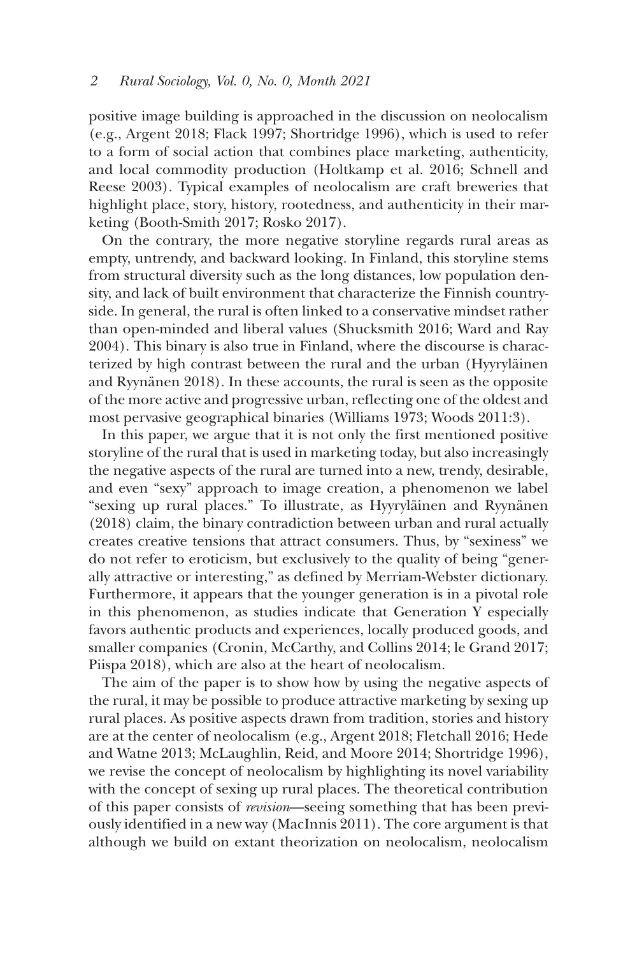positive image building is approached in the discussion on neolocalism (e.g., Argent 2018; Flack 1997; Shortridge 1996), which is used to refer to a form of social action that combines place marketing, authenticity, and local commodity production (Holtkamp et al. 2016; Schnell and Reese 2003). Typical examples of neolocalism are craft breweries that highlight place, story, history, rootedness, and authenticity in their marketing (Booth-Smith 2017; Rosko 2017).

On the contrary, the more negative storyline regards rural areas as empty, untrendy, and backward looking. In Finland, this storyline stems from structural diversity such as the long distances, low population density, and lack of built environment that characterize the Finnish countryside. In general, the rural is often linked to a conservative mindset rather than open-minded and liberal values (Shucksmith 2016; Ward and Ray 2004). This binary is also true in Finland, where the discourse is characterized by high contrast between the rural and the urban (Hyyryläinen and Ryynänen 2018). In these accounts, the rural is seen as the opposite of the more active and progressive urban, reflecting one of the oldest and most pervasive geographical binaries (Williams 1973; Woods 2011:3).

In this paper, we argue that it is not only the first mentioned positive storyline of the rural that is used in marketing today, but also increasingly the negative aspects of the rural are turned into a new, trendy, desirable, and even "sexy" approach to image creation, a phenomenon we label "sexing up rural places." To illustrate, as Hyyryläinen and Ryynänen (2018) claim, the binary contradiction between urban and rural actually creates creative tensions that attract consumers. Thus, by "sexiness" we do not refer to eroticism, but exclusively to the quality of being "generally attractive or interesting," as defined by Merriam-Webster dictionary. Furthermore, it appears that the younger generation is in a pivotal role in this phenomenon, as studies indicate that Generation Y especially favors authentic products and experiences, locally produced goods, and smaller companies (Cronin, McCarthy, and Collins 2014; le Grand 2017; Piispa 2018), which are also at the heart of neolocalism.

The aim of the paper is to show how by using the negative aspects of the rural, it may be possible to produce attractive marketing by sexing up rural places. As positive aspects drawn from tradition, stories and history are at the center of neolocalism (e.g., Argent 2018; Fletchall 2016; Hede and Watne 2013; McLaughlin, Reid, and Moore 2014; Shortridge 1996), we revise the concept of neolocalism by highlighting its novel variability with the concept of sexing up rural places. The theoretical contribution of this paper consists of *revision*––seeing something that has been previously identified in a new way (MacInnis 2011). The core argument is that although we build on extant theorization on neolocalism, neolocalism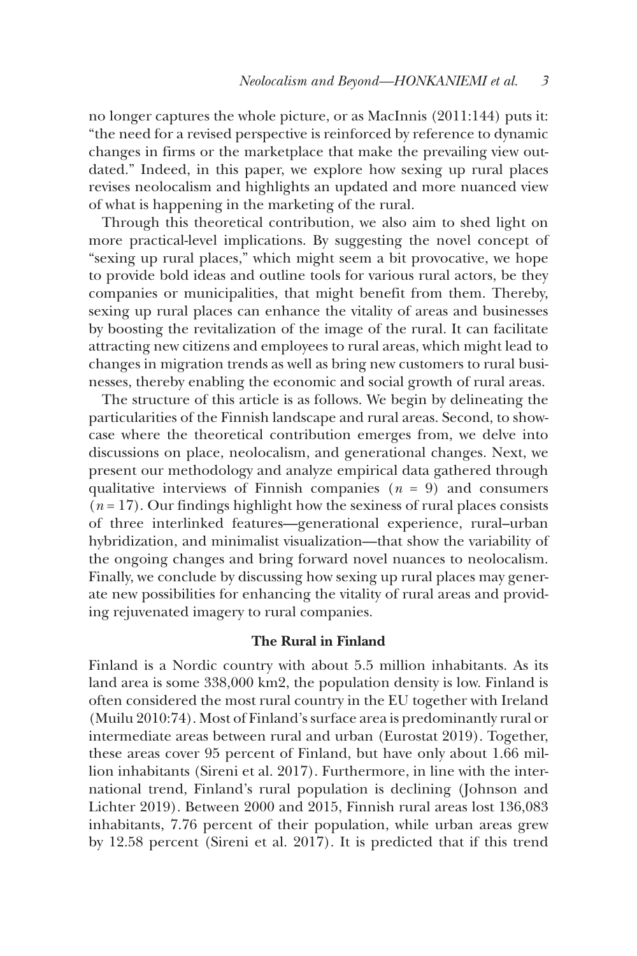no longer captures the whole picture, or as MacInnis (2011:144) puts it: "the need for a revised perspective is reinforced by reference to dynamic changes in firms or the marketplace that make the prevailing view outdated." Indeed, in this paper, we explore how sexing up rural places revises neolocalism and highlights an updated and more nuanced view of what is happening in the marketing of the rural.

Through this theoretical contribution, we also aim to shed light on more practical-level implications. By suggesting the novel concept of "sexing up rural places," which might seem a bit provocative, we hope to provide bold ideas and outline tools for various rural actors, be they companies or municipalities, that might benefit from them. Thereby, sexing up rural places can enhance the vitality of areas and businesses by boosting the revitalization of the image of the rural. It can facilitate attracting new citizens and employees to rural areas, which might lead to changes in migration trends as well as bring new customers to rural businesses, thereby enabling the economic and social growth of rural areas.

The structure of this article is as follows. We begin by delineating the particularities of the Finnish landscape and rural areas. Second, to showcase where the theoretical contribution emerges from, we delve into discussions on place, neolocalism, and generational changes. Next, we present our methodology and analyze empirical data gathered through qualitative interviews of Finnish companies  $(n = 9)$  and consumers  $(n=17)$ . Our findings highlight how the sexiness of rural places consists of three interlinked features––generational experience, rural–urban hybridization, and minimalist visualization––that show the variability of the ongoing changes and bring forward novel nuances to neolocalism. Finally, we conclude by discussing how sexing up rural places may generate new possibilities for enhancing the vitality of rural areas and providing rejuvenated imagery to rural companies.

### **The Rural in Finland**

Finland is a Nordic country with about 5.5 million inhabitants. As its land area is some 338,000 km2, the population density is low. Finland is often considered the most rural country in the EU together with Ireland (Muilu 2010:74). Most of Finland's surface area is predominantly rural or intermediate areas between rural and urban (Eurostat 2019). Together, these areas cover 95 percent of Finland, but have only about 1.66 million inhabitants (Sireni et al. 2017). Furthermore, in line with the international trend, Finland's rural population is declining (Johnson and Lichter 2019). Between 2000 and 2015, Finnish rural areas lost 136,083 inhabitants, 7.76 percent of their population, while urban areas grew by 12.58 percent (Sireni et al. 2017). It is predicted that if this trend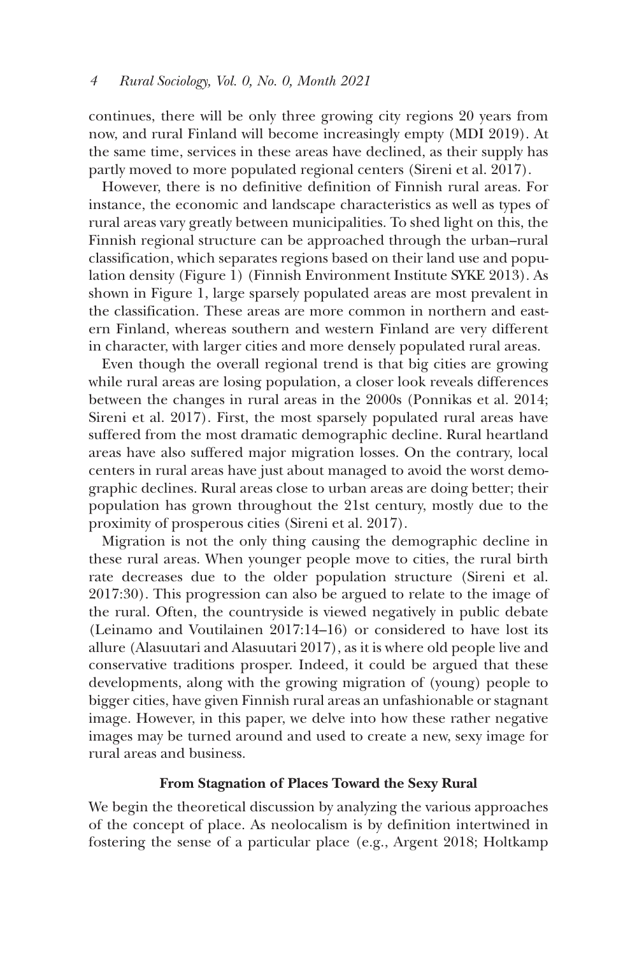continues, there will be only three growing city regions 20 years from now, and rural Finland will become increasingly empty (MDI 2019). At the same time, services in these areas have declined, as their supply has partly moved to more populated regional centers (Sireni et al. 2017).

However, there is no definitive definition of Finnish rural areas. For instance, the economic and landscape characteristics as well as types of rural areas vary greatly between municipalities. To shed light on this, the Finnish regional structure can be approached through the urban–rural classification, which separates regions based on their land use and population density (Figure 1) (Finnish Environment Institute SYKE 2013). As shown in Figure 1, large sparsely populated areas are most prevalent in the classification. These areas are more common in northern and eastern Finland, whereas southern and western Finland are very different in character, with larger cities and more densely populated rural areas.

Even though the overall regional trend is that big cities are growing while rural areas are losing population, a closer look reveals differences between the changes in rural areas in the 2000s (Ponnikas et al. 2014; Sireni et al. 2017). First, the most sparsely populated rural areas have suffered from the most dramatic demographic decline. Rural heartland areas have also suffered major migration losses. On the contrary, local centers in rural areas have just about managed to avoid the worst demographic declines. Rural areas close to urban areas are doing better; their population has grown throughout the 21st century, mostly due to the proximity of prosperous cities (Sireni et al. 2017).

Migration is not the only thing causing the demographic decline in these rural areas. When younger people move to cities, the rural birth rate decreases due to the older population structure (Sireni et al. 2017:30). This progression can also be argued to relate to the image of the rural. Often, the countryside is viewed negatively in public debate (Leinamo and Voutilainen 2017:14–16) or considered to have lost its allure (Alasuutari and Alasuutari 2017), as it is where old people live and conservative traditions prosper. Indeed, it could be argued that these developments, along with the growing migration of (young) people to bigger cities, have given Finnish rural areas an unfashionable or stagnant image. However, in this paper, we delve into how these rather negative images may be turned around and used to create a new, sexy image for rural areas and business.

# **From Stagnation of Places Toward the Sexy Rural**

We begin the theoretical discussion by analyzing the various approaches of the concept of place. As neolocalism is by definition intertwined in fostering the sense of a particular place (e.g., Argent 2018; Holtkamp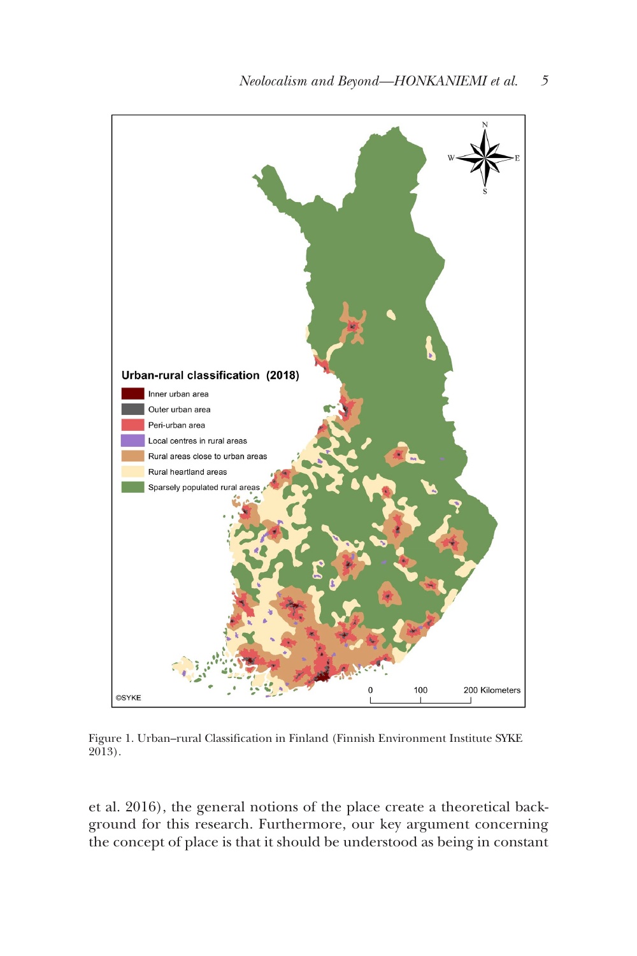

Figure 1. Urban–rural Classification in Finland (Finnish Environment Institute SYKE 2013).

et al. 2016), the general notions of the place create a theoretical background for this research. Furthermore, our key argument concerning the concept of place is that it should be understood as being in constant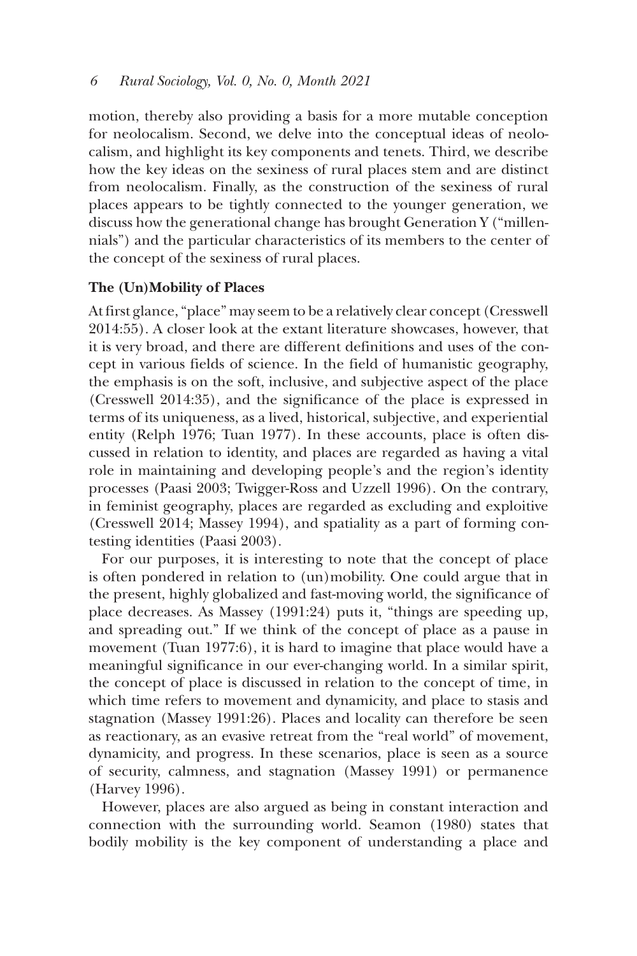motion, thereby also providing a basis for a more mutable conception for neolocalism. Second, we delve into the conceptual ideas of neolocalism, and highlight its key components and tenets. Third, we describe how the key ideas on the sexiness of rural places stem and are distinct from neolocalism. Finally, as the construction of the sexiness of rural places appears to be tightly connected to the younger generation, we discuss how the generational change has brought Generation Y ("millennials") and the particular characteristics of its members to the center of the concept of the sexiness of rural places.

# **The (Un)Mobility of Places**

At first glance, "place" may seem to be a relatively clear concept (Cresswell 2014:55). A closer look at the extant literature showcases, however, that it is very broad, and there are different definitions and uses of the concept in various fields of science. In the field of humanistic geography, the emphasis is on the soft, inclusive, and subjective aspect of the place (Cresswell 2014:35), and the significance of the place is expressed in terms of its uniqueness, as a lived, historical, subjective, and experiential entity (Relph 1976; Tuan 1977). In these accounts, place is often discussed in relation to identity, and places are regarded as having a vital role in maintaining and developing people's and the region's identity processes (Paasi 2003; Twigger-Ross and Uzzell 1996). On the contrary, in feminist geography, places are regarded as excluding and exploitive (Cresswell 2014; Massey 1994), and spatiality as a part of forming contesting identities (Paasi 2003).

For our purposes, it is interesting to note that the concept of place is often pondered in relation to (un)mobility. One could argue that in the present, highly globalized and fast-moving world, the significance of place decreases. As Massey (1991:24) puts it, "things are speeding up, and spreading out." If we think of the concept of place as a pause in movement (Tuan 1977:6), it is hard to imagine that place would have a meaningful significance in our ever-changing world. In a similar spirit, the concept of place is discussed in relation to the concept of time, in which time refers to movement and dynamicity, and place to stasis and stagnation (Massey 1991:26). Places and locality can therefore be seen as reactionary, as an evasive retreat from the "real world" of movement, dynamicity, and progress. In these scenarios, place is seen as a source of security, calmness, and stagnation (Massey 1991) or permanence (Harvey 1996).

However, places are also argued as being in constant interaction and connection with the surrounding world. Seamon (1980) states that bodily mobility is the key component of understanding a place and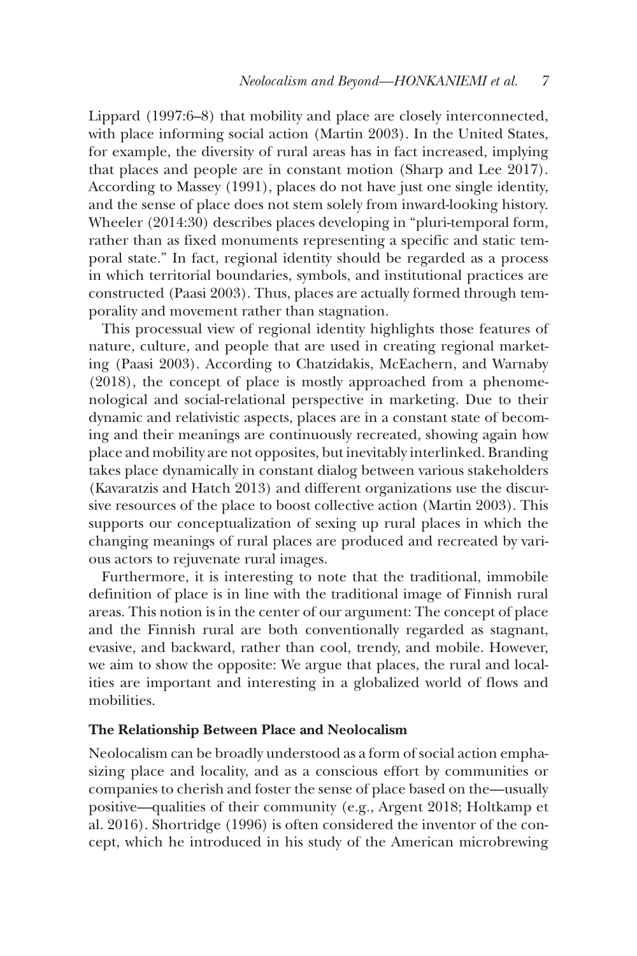Lippard (1997:6–8) that mobility and place are closely interconnected, with place informing social action (Martin 2003). In the United States, for example, the diversity of rural areas has in fact increased, implying that places and people are in constant motion (Sharp and Lee 2017). According to Massey (1991), places do not have just one single identity, and the sense of place does not stem solely from inward-looking history. Wheeler (2014:30) describes places developing in "pluri-temporal form, rather than as fixed monuments representing a specific and static temporal state." In fact, regional identity should be regarded as a process in which territorial boundaries, symbols, and institutional practices are constructed (Paasi 2003). Thus, places are actually formed through temporality and movement rather than stagnation.

This processual view of regional identity highlights those features of nature, culture, and people that are used in creating regional marketing (Paasi 2003). According to Chatzidakis, McEachern, and Warnaby (2018), the concept of place is mostly approached from a phenomenological and social-relational perspective in marketing. Due to their dynamic and relativistic aspects, places are in a constant state of becoming and their meanings are continuously recreated, showing again how place and mobility are not opposites, but inevitably interlinked. Branding takes place dynamically in constant dialog between various stakeholders (Kavaratzis and Hatch 2013) and different organizations use the discursive resources of the place to boost collective action (Martin 2003). This supports our conceptualization of sexing up rural places in which the changing meanings of rural places are produced and recreated by various actors to rejuvenate rural images.

Furthermore, it is interesting to note that the traditional, immobile definition of place is in line with the traditional image of Finnish rural areas. This notion is in the center of our argument: The concept of place and the Finnish rural are both conventionally regarded as stagnant, evasive, and backward, rather than cool, trendy, and mobile. However, we aim to show the opposite: We argue that places, the rural and localities are important and interesting in a globalized world of flows and mobilities.

#### **The Relationship Between Place and Neolocalism**

Neolocalism can be broadly understood as a form of social action emphasizing place and locality, and as a conscious effort by communities or companies to cherish and foster the sense of place based on the––usually positive––qualities of their community (e.g., Argent 2018; Holtkamp et al. 2016). Shortridge (1996) is often considered the inventor of the concept, which he introduced in his study of the American microbrewing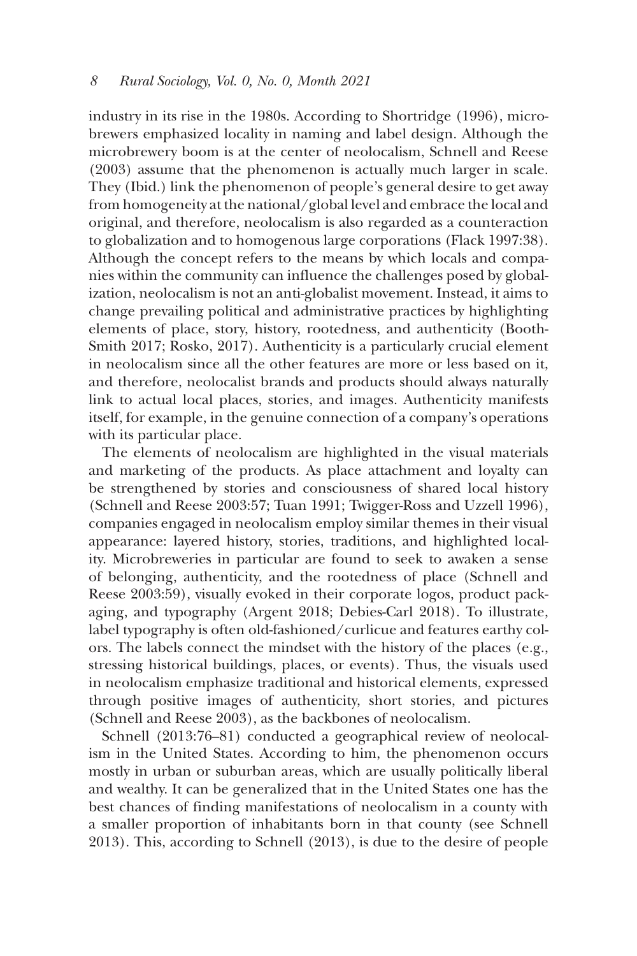industry in its rise in the 1980s. According to Shortridge (1996), microbrewers emphasized locality in naming and label design. Although the microbrewery boom is at the center of neolocalism, Schnell and Reese (2003) assume that the phenomenon is actually much larger in scale. They (Ibid.) link the phenomenon of people's general desire to get away from homogeneity at the national/global level and embrace the local and original, and therefore, neolocalism is also regarded as a counteraction to globalization and to homogenous large corporations (Flack 1997:38). Although the concept refers to the means by which locals and companies within the community can influence the challenges posed by globalization, neolocalism is not an anti-globalist movement. Instead, it aims to change prevailing political and administrative practices by highlighting elements of place, story, history, rootedness, and authenticity (Booth-Smith 2017; Rosko, 2017). Authenticity is a particularly crucial element in neolocalism since all the other features are more or less based on it, and therefore, neolocalist brands and products should always naturally link to actual local places, stories, and images. Authenticity manifests itself, for example, in the genuine connection of a company's operations with its particular place.

The elements of neolocalism are highlighted in the visual materials and marketing of the products. As place attachment and loyalty can be strengthened by stories and consciousness of shared local history (Schnell and Reese 2003:57; Tuan 1991; Twigger-Ross and Uzzell 1996), companies engaged in neolocalism employ similar themes in their visual appearance: layered history, stories, traditions, and highlighted locality. Microbreweries in particular are found to seek to awaken a sense of belonging, authenticity, and the rootedness of place (Schnell and Reese 2003:59), visually evoked in their corporate logos, product packaging, and typography (Argent 2018; Debies-Carl 2018). To illustrate, label typography is often old-fashioned/curlicue and features earthy colors. The labels connect the mindset with the history of the places (e.g., stressing historical buildings, places, or events). Thus, the visuals used in neolocalism emphasize traditional and historical elements, expressed through positive images of authenticity, short stories, and pictures (Schnell and Reese 2003), as the backbones of neolocalism.

Schnell (2013:76–81) conducted a geographical review of neolocalism in the United States. According to him, the phenomenon occurs mostly in urban or suburban areas, which are usually politically liberal and wealthy. It can be generalized that in the United States one has the best chances of finding manifestations of neolocalism in a county with a smaller proportion of inhabitants born in that county (see Schnell 2013). This, according to Schnell (2013), is due to the desire of people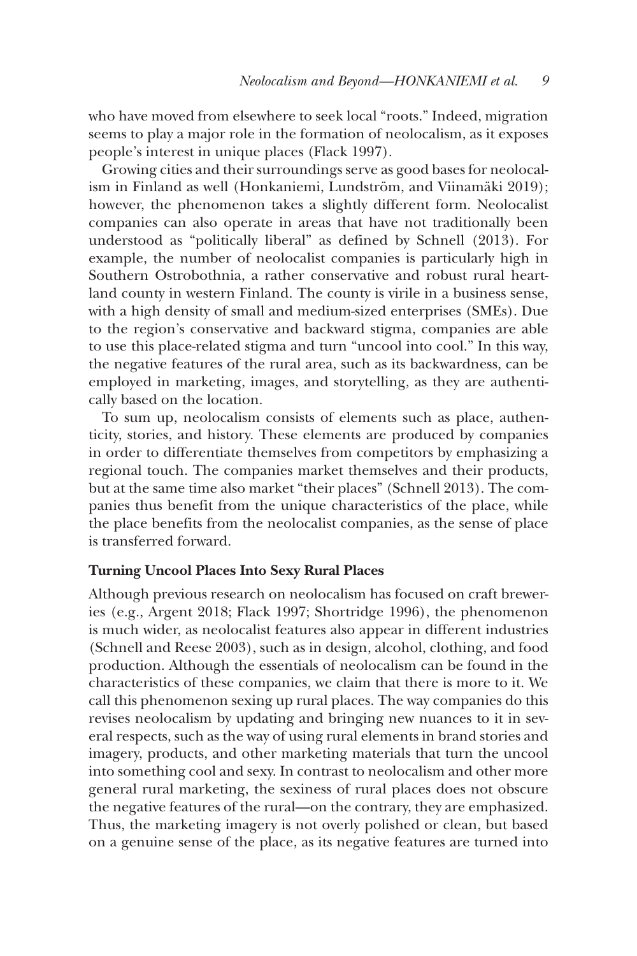who have moved from elsewhere to seek local "roots." Indeed, migration seems to play a major role in the formation of neolocalism, as it exposes people's interest in unique places (Flack 1997).

Growing cities and their surroundings serve as good bases for neolocalism in Finland as well (Honkaniemi, Lundström, and Viinamäki 2019); however, the phenomenon takes a slightly different form. Neolocalist companies can also operate in areas that have not traditionally been understood as "politically liberal" as defined by Schnell (2013). For example, the number of neolocalist companies is particularly high in Southern Ostrobothnia, a rather conservative and robust rural heartland county in western Finland. The county is virile in a business sense, with a high density of small and medium-sized enterprises (SMEs). Due to the region's conservative and backward stigma, companies are able to use this place-related stigma and turn "uncool into cool." In this way, the negative features of the rural area, such as its backwardness, can be employed in marketing, images, and storytelling, as they are authentically based on the location.

To sum up, neolocalism consists of elements such as place, authenticity, stories, and history. These elements are produced by companies in order to differentiate themselves from competitors by emphasizing a regional touch. The companies market themselves and their products, but at the same time also market "their places" (Schnell 2013). The companies thus benefit from the unique characteristics of the place, while the place benefits from the neolocalist companies, as the sense of place is transferred forward.

### **Turning Uncool Places Into Sexy Rural Places**

Although previous research on neolocalism has focused on craft breweries (e.g., Argent 2018; Flack 1997; Shortridge 1996), the phenomenon is much wider, as neolocalist features also appear in different industries (Schnell and Reese 2003), such as in design, alcohol, clothing, and food production. Although the essentials of neolocalism can be found in the characteristics of these companies, we claim that there is more to it. We call this phenomenon sexing up rural places. The way companies do this revises neolocalism by updating and bringing new nuances to it in several respects, such as the way of using rural elements in brand stories and imagery, products, and other marketing materials that turn the uncool into something cool and sexy. In contrast to neolocalism and other more general rural marketing, the sexiness of rural places does not obscure the negative features of the rural––on the contrary, they are emphasized. Thus, the marketing imagery is not overly polished or clean, but based on a genuine sense of the place, as its negative features are turned into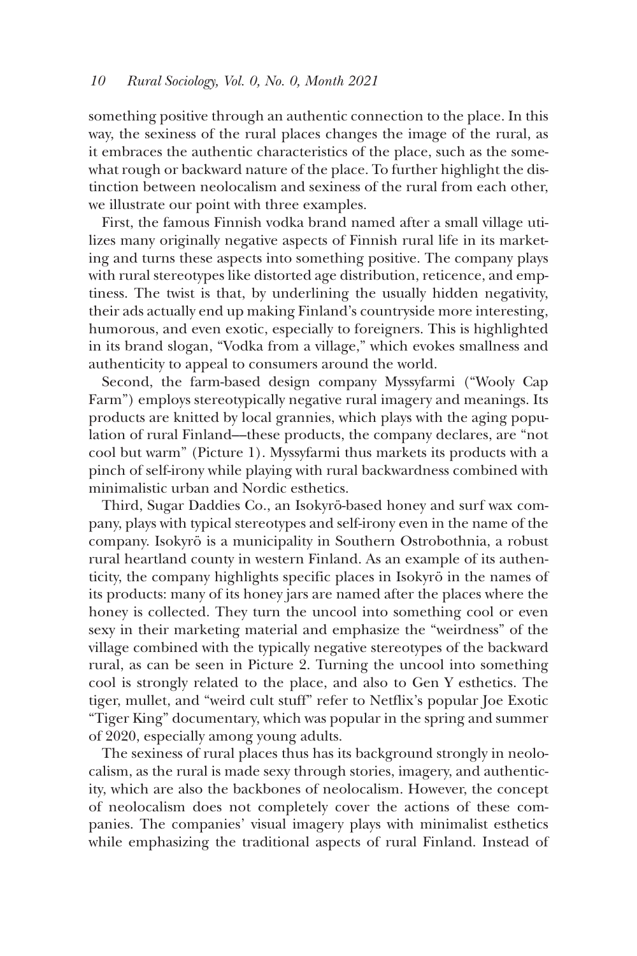something positive through an authentic connection to the place. In this way, the sexiness of the rural places changes the image of the rural, as it embraces the authentic characteristics of the place, such as the somewhat rough or backward nature of the place. To further highlight the distinction between neolocalism and sexiness of the rural from each other, we illustrate our point with three examples.

First, the famous Finnish vodka brand named after a small village utilizes many originally negative aspects of Finnish rural life in its marketing and turns these aspects into something positive. The company plays with rural stereotypes like distorted age distribution, reticence, and emptiness. The twist is that, by underlining the usually hidden negativity, their ads actually end up making Finland's countryside more interesting, humorous, and even exotic, especially to foreigners. This is highlighted in its brand slogan, "Vodka from a village," which evokes smallness and authenticity to appeal to consumers around the world.

Second, the farm-based design company Myssyfarmi ("Wooly Cap Farm") employs stereotypically negative rural imagery and meanings. Its products are knitted by local grannies, which plays with the aging population of rural Finland––these products, the company declares, are "not cool but warm" (Picture 1). Myssyfarmi thus markets its products with a pinch of self-irony while playing with rural backwardness combined with minimalistic urban and Nordic esthetics.

Third, Sugar Daddies Co., an Isokyrö-based honey and surf wax company, plays with typical stereotypes and self-irony even in the name of the company. Isokyrö is a municipality in Southern Ostrobothnia, a robust rural heartland county in western Finland. As an example of its authenticity, the company highlights specific places in Isokyrö in the names of its products: many of its honey jars are named after the places where the honey is collected. They turn the uncool into something cool or even sexy in their marketing material and emphasize the "weirdness" of the village combined with the typically negative stereotypes of the backward rural, as can be seen in Picture 2. Turning the uncool into something cool is strongly related to the place, and also to Gen Y esthetics. The tiger, mullet, and "weird cult stuff" refer to Netflix's popular Joe Exotic "Tiger King" documentary, which was popular in the spring and summer of 2020, especially among young adults.

The sexiness of rural places thus has its background strongly in neolocalism, as the rural is made sexy through stories, imagery, and authenticity, which are also the backbones of neolocalism. However, the concept of neolocalism does not completely cover the actions of these companies. The companies' visual imagery plays with minimalist esthetics while emphasizing the traditional aspects of rural Finland. Instead of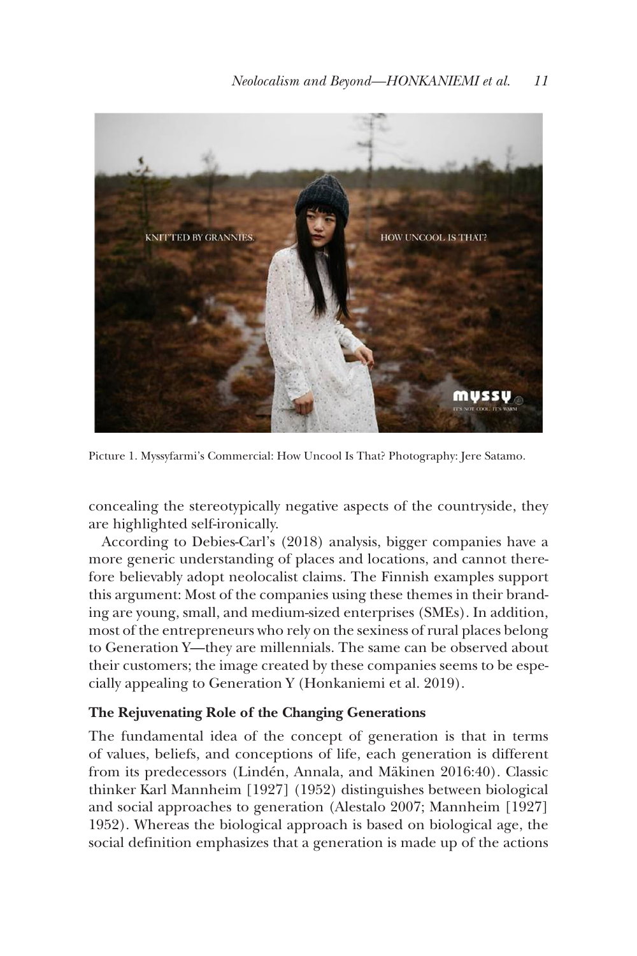

Picture 1. Myssyfarmi's Commercial: How Uncool Is That? Photography: Jere Satamo.

concealing the stereotypically negative aspects of the countryside, they are highlighted self-ironically.

According to Debies-Carl's (2018) analysis, bigger companies have a more generic understanding of places and locations, and cannot therefore believably adopt neolocalist claims. The Finnish examples support this argument: Most of the companies using these themes in their branding are young, small, and medium-sized enterprises (SMEs). In addition, most of the entrepreneurs who rely on the sexiness of rural places belong to Generation Y––they are millennials. The same can be observed about their customers; the image created by these companies seems to be especially appealing to Generation Y (Honkaniemi et al. 2019).

## **The Rejuvenating Role of the Changing Generations**

The fundamental idea of the concept of generation is that in terms of values, beliefs, and conceptions of life, each generation is different from its predecessors (Lindén, Annala, and Mäkinen 2016:40). Classic thinker Karl Mannheim [1927] (1952) distinguishes between biological and social approaches to generation (Alestalo 2007; Mannheim [1927] 1952). Whereas the biological approach is based on biological age, the social definition emphasizes that a generation is made up of the actions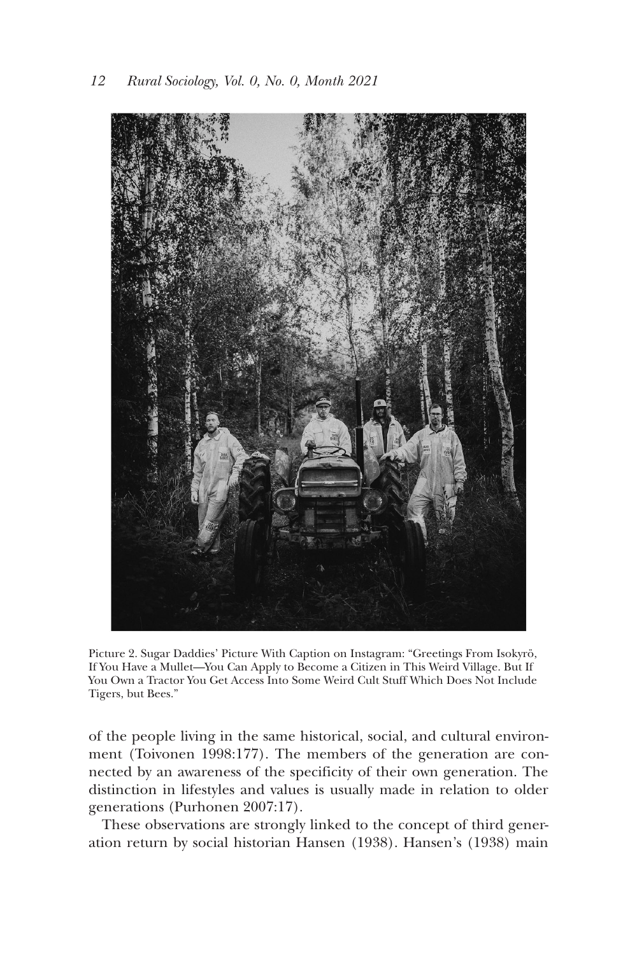

Picture 2. Sugar Daddies' Picture With Caption on Instagram: "Greetings From Isokyrö, If You Have a Mullet—You Can Apply to Become a Citizen in This Weird Village. But If You Own a Tractor You Get Access Into Some Weird Cult Stuff Which Does Not Include Tigers, but Bees."

of the people living in the same historical, social, and cultural environment (Toivonen 1998:177). The members of the generation are connected by an awareness of the specificity of their own generation. The distinction in lifestyles and values is usually made in relation to older generations (Purhonen 2007:17).

These observations are strongly linked to the concept of third generation return by social historian Hansen (1938). Hansen's (1938) main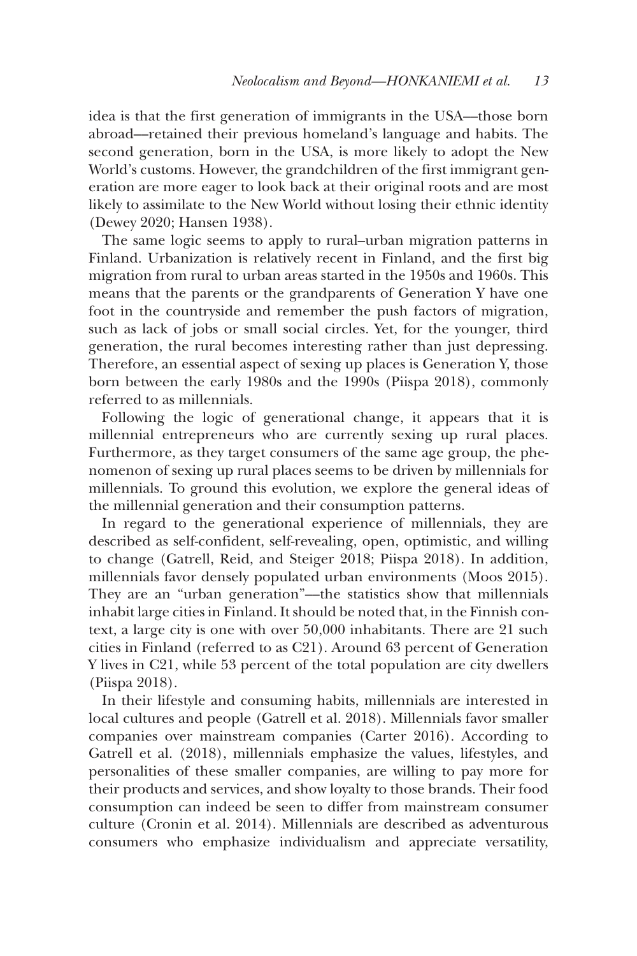idea is that the first generation of immigrants in the USA––those born abroad––retained their previous homeland's language and habits. The second generation, born in the USA, is more likely to adopt the New World's customs. However, the grandchildren of the first immigrant generation are more eager to look back at their original roots and are most likely to assimilate to the New World without losing their ethnic identity (Dewey 2020; Hansen 1938).

The same logic seems to apply to rural–urban migration patterns in Finland. Urbanization is relatively recent in Finland, and the first big migration from rural to urban areas started in the 1950s and 1960s. This means that the parents or the grandparents of Generation Y have one foot in the countryside and remember the push factors of migration, such as lack of jobs or small social circles. Yet, for the younger, third generation, the rural becomes interesting rather than just depressing. Therefore, an essential aspect of sexing up places is Generation Y, those born between the early 1980s and the 1990s (Piispa 2018), commonly referred to as millennials.

Following the logic of generational change, it appears that it is millennial entrepreneurs who are currently sexing up rural places. Furthermore, as they target consumers of the same age group, the phenomenon of sexing up rural places seems to be driven by millennials for millennials. To ground this evolution, we explore the general ideas of the millennial generation and their consumption patterns.

In regard to the generational experience of millennials, they are described as self-confident, self-revealing, open, optimistic, and willing to change (Gatrell, Reid, and Steiger 2018; Piispa 2018). In addition, millennials favor densely populated urban environments (Moos 2015). They are an "urban generation"––the statistics show that millennials inhabit large cities in Finland. It should be noted that, in the Finnish context, a large city is one with over 50,000 inhabitants. There are 21 such cities in Finland (referred to as C21). Around 63 percent of Generation Y lives in C21, while 53 percent of the total population are city dwellers (Piispa 2018).

In their lifestyle and consuming habits, millennials are interested in local cultures and people (Gatrell et al. 2018). Millennials favor smaller companies over mainstream companies (Carter 2016). According to Gatrell et al. (2018), millennials emphasize the values, lifestyles, and personalities of these smaller companies, are willing to pay more for their products and services, and show loyalty to those brands. Their food consumption can indeed be seen to differ from mainstream consumer culture (Cronin et al. 2014). Millennials are described as adventurous consumers who emphasize individualism and appreciate versatility,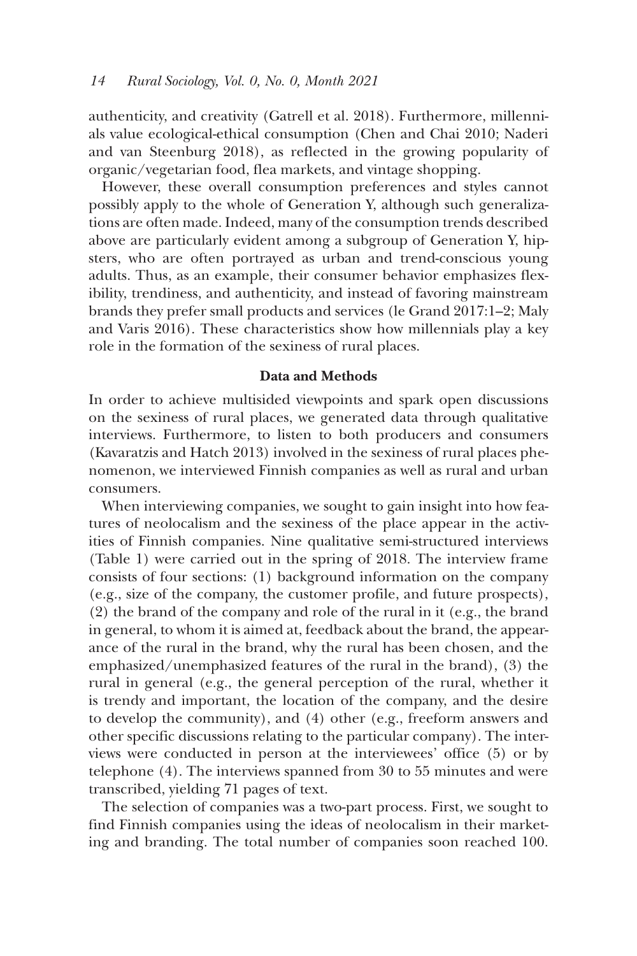authenticity, and creativity (Gatrell et al. 2018). Furthermore, millennials value ecological-ethical consumption (Chen and Chai 2010; Naderi and van Steenburg 2018), as reflected in the growing popularity of organic/vegetarian food, flea markets, and vintage shopping.

However, these overall consumption preferences and styles cannot possibly apply to the whole of Generation Y, although such generalizations are often made. Indeed, many of the consumption trends described above are particularly evident among a subgroup of Generation Y, hipsters, who are often portrayed as urban and trend-conscious young adults. Thus, as an example, their consumer behavior emphasizes flexibility, trendiness, and authenticity, and instead of favoring mainstream brands they prefer small products and services (le Grand 2017:1–2; Maly and Varis 2016). These characteristics show how millennials play a key role in the formation of the sexiness of rural places.

## **Data and Methods**

In order to achieve multisided viewpoints and spark open discussions on the sexiness of rural places, we generated data through qualitative interviews. Furthermore, to listen to both producers and consumers (Kavaratzis and Hatch 2013) involved in the sexiness of rural places phenomenon, we interviewed Finnish companies as well as rural and urban consumers.

When interviewing companies, we sought to gain insight into how features of neolocalism and the sexiness of the place appear in the activities of Finnish companies. Nine qualitative semi-structured interviews (Table 1) were carried out in the spring of 2018. The interview frame consists of four sections: (1) background information on the company (e.g., size of the company, the customer profile, and future prospects), (2) the brand of the company and role of the rural in it (e.g., the brand in general, to whom it is aimed at, feedback about the brand, the appearance of the rural in the brand, why the rural has been chosen, and the emphasized/unemphasized features of the rural in the brand), (3) the rural in general (e.g., the general perception of the rural, whether it is trendy and important, the location of the company, and the desire to develop the community), and (4) other (e.g., freeform answers and other specific discussions relating to the particular company). The interviews were conducted in person at the interviewees' office (5) or by telephone (4). The interviews spanned from 30 to 55 minutes and were transcribed, yielding 71 pages of text.

The selection of companies was a two-part process. First, we sought to find Finnish companies using the ideas of neolocalism in their marketing and branding. The total number of companies soon reached 100.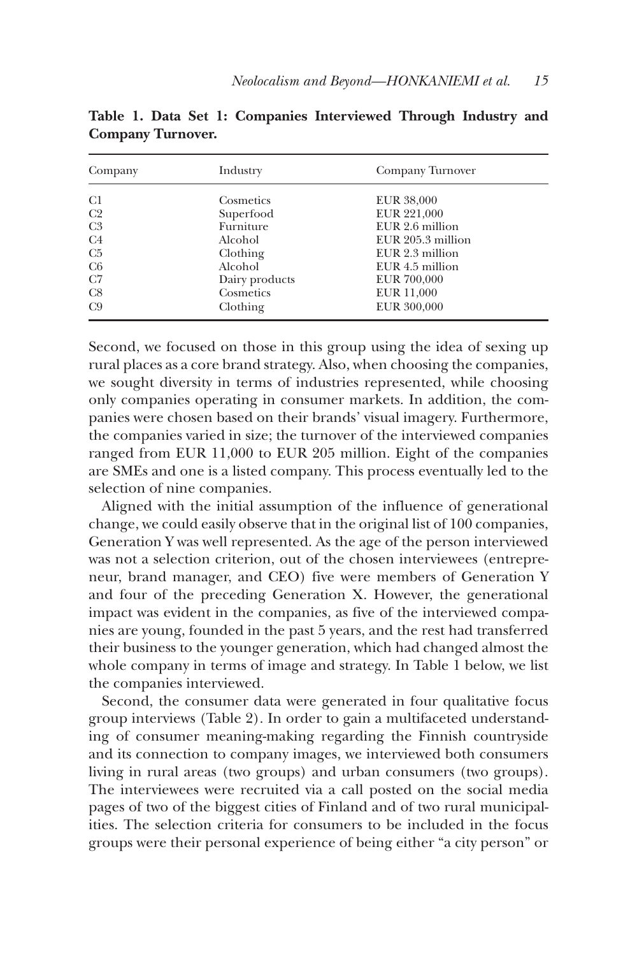| Company        | Industry       | Company Turnover  |  |
|----------------|----------------|-------------------|--|
| C1             | Cosmetics      | <b>EUR 38,000</b> |  |
| C <sub>2</sub> | Superfood      | EUR 221,000       |  |
| C <sub>3</sub> | Furniture      | EUR 2.6 million   |  |
| C <sub>4</sub> | Alcohol        | EUR 205.3 million |  |
| C <sub>5</sub> | Clothing       | EUR 2.3 million   |  |
| C <sub>6</sub> | Alcohol        | EUR 4.5 million   |  |
| C7             | Dairy products | EUR 700,000       |  |
| C8             | Cosmetics      | <b>EUR 11,000</b> |  |
| C9             | Clothing       | EUR 300,000       |  |

**Table 1. Data Set 1: Companies Interviewed Through Industry and Company Turnover.**

Second, we focused on those in this group using the idea of sexing up rural places as a core brand strategy. Also, when choosing the companies, we sought diversity in terms of industries represented, while choosing only companies operating in consumer markets. In addition, the companies were chosen based on their brands' visual imagery. Furthermore, the companies varied in size; the turnover of the interviewed companies ranged from EUR 11,000 to EUR 205 million. Eight of the companies are SMEs and one is a listed company. This process eventually led to the selection of nine companies.

Aligned with the initial assumption of the influence of generational change, we could easily observe that in the original list of 100 companies, Generation Y was well represented. As the age of the person interviewed was not a selection criterion, out of the chosen interviewees (entrepreneur, brand manager, and CEO) five were members of Generation Y and four of the preceding Generation X. However, the generational impact was evident in the companies, as five of the interviewed companies are young, founded in the past 5 years, and the rest had transferred their business to the younger generation, which had changed almost the whole company in terms of image and strategy. In Table 1 below, we list the companies interviewed.

Second, the consumer data were generated in four qualitative focus group interviews (Table 2). In order to gain a multifaceted understanding of consumer meaning-making regarding the Finnish countryside and its connection to company images, we interviewed both consumers living in rural areas (two groups) and urban consumers (two groups). The interviewees were recruited via a call posted on the social media pages of two of the biggest cities of Finland and of two rural municipalities. The selection criteria for consumers to be included in the focus groups were their personal experience of being either "a city person" or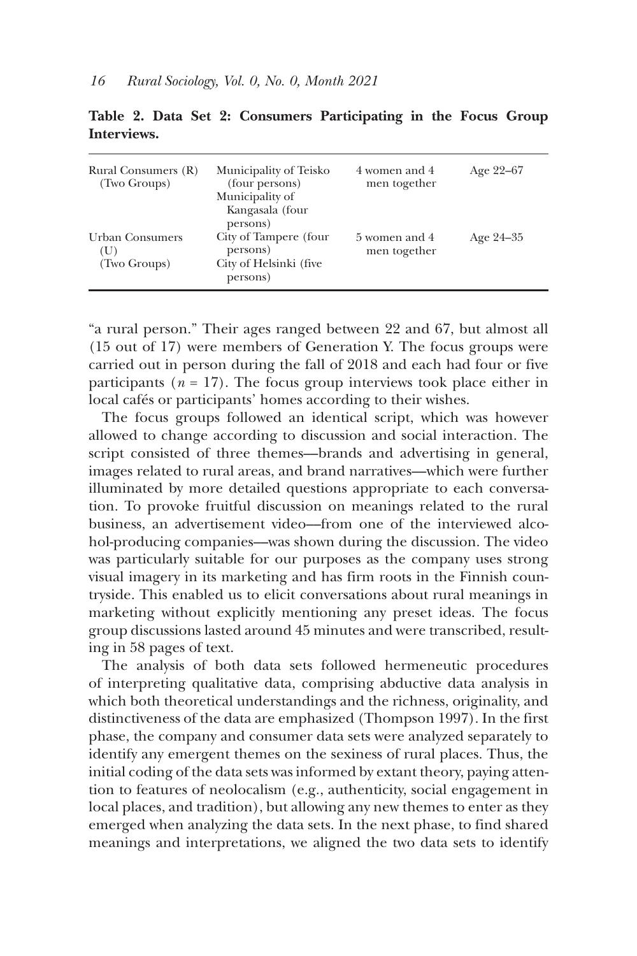| Rural Consumers (R)    | Municipality of Teisko                         | 4 women and 4 | Age $22-67$ |
|------------------------|------------------------------------------------|---------------|-------------|
| (Two Groups)           | (four persons)                                 | men together  |             |
|                        | Municipality of<br>Kangasala (four<br>persons) |               |             |
| <b>Urban Consumers</b> | City of Tampere (four                          | 5 women and 4 | Age $24-35$ |
| (U)                    | persons)                                       | men together  |             |
| (Two Groups)           | City of Helsinki (five<br>persons)             |               |             |

**Table 2. Data Set 2: Consumers Participating in the Focus Group Interviews.**

"a rural person." Their ages ranged between 22 and 67, but almost all (15 out of 17) were members of Generation Y. The focus groups were carried out in person during the fall of 2018 and each had four or five participants  $(n = 17)$ . The focus group interviews took place either in local cafés or participants' homes according to their wishes.

The focus groups followed an identical script, which was however allowed to change according to discussion and social interaction. The script consisted of three themes––brands and advertising in general, images related to rural areas, and brand narratives––which were further illuminated by more detailed questions appropriate to each conversation. To provoke fruitful discussion on meanings related to the rural business, an advertisement video––from one of the interviewed alcohol-producing companies––was shown during the discussion. The video was particularly suitable for our purposes as the company uses strong visual imagery in its marketing and has firm roots in the Finnish countryside. This enabled us to elicit conversations about rural meanings in marketing without explicitly mentioning any preset ideas. The focus group discussions lasted around 45 minutes and were transcribed, resulting in 58 pages of text.

The analysis of both data sets followed hermeneutic procedures of interpreting qualitative data, comprising abductive data analysis in which both theoretical understandings and the richness, originality, and distinctiveness of the data are emphasized (Thompson 1997). In the first phase, the company and consumer data sets were analyzed separately to identify any emergent themes on the sexiness of rural places. Thus, the initial coding of the data sets was informed by extant theory, paying attention to features of neolocalism (e.g., authenticity, social engagement in local places, and tradition), but allowing any new themes to enter as they emerged when analyzing the data sets. In the next phase, to find shared meanings and interpretations, we aligned the two data sets to identify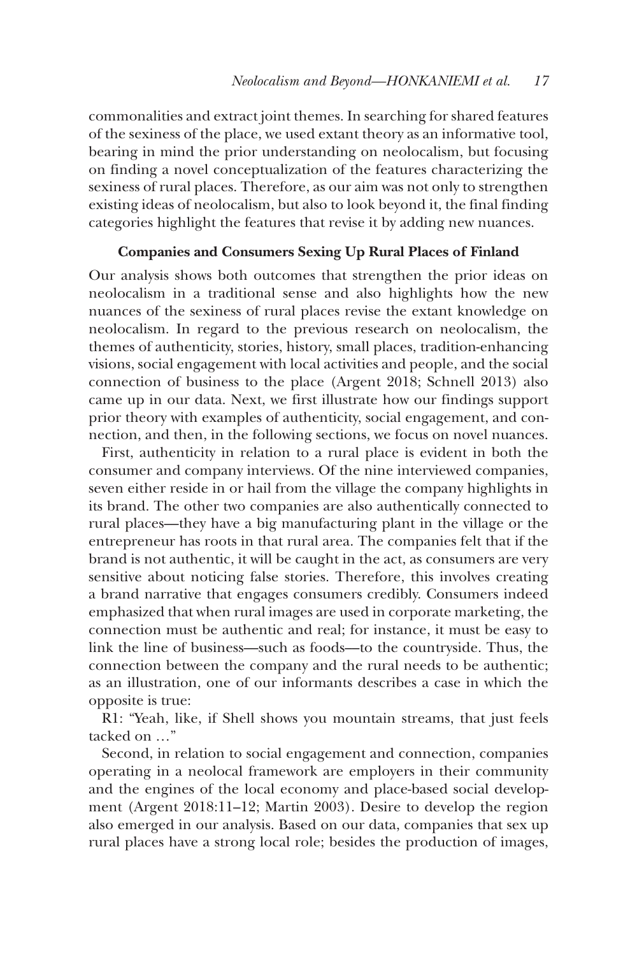commonalities and extract joint themes. In searching for shared features of the sexiness of the place, we used extant theory as an informative tool, bearing in mind the prior understanding on neolocalism, but focusing on finding a novel conceptualization of the features characterizing the sexiness of rural places. Therefore, as our aim was not only to strengthen existing ideas of neolocalism, but also to look beyond it, the final finding categories highlight the features that revise it by adding new nuances.

# **Companies and Consumers Sexing Up Rural Places of Finland**

Our analysis shows both outcomes that strengthen the prior ideas on neolocalism in a traditional sense and also highlights how the new nuances of the sexiness of rural places revise the extant knowledge on neolocalism. In regard to the previous research on neolocalism, the themes of authenticity, stories, history, small places, tradition-enhancing visions, social engagement with local activities and people, and the social connection of business to the place (Argent 2018; Schnell 2013) also came up in our data. Next, we first illustrate how our findings support prior theory with examples of authenticity, social engagement, and connection, and then, in the following sections, we focus on novel nuances.

First, authenticity in relation to a rural place is evident in both the consumer and company interviews. Of the nine interviewed companies, seven either reside in or hail from the village the company highlights in its brand. The other two companies are also authentically connected to rural places––they have a big manufacturing plant in the village or the entrepreneur has roots in that rural area. The companies felt that if the brand is not authentic, it will be caught in the act, as consumers are very sensitive about noticing false stories. Therefore, this involves creating a brand narrative that engages consumers credibly. Consumers indeed emphasized that when rural images are used in corporate marketing, the connection must be authentic and real; for instance, it must be easy to link the line of business––such as foods––to the countryside. Thus, the connection between the company and the rural needs to be authentic; as an illustration, one of our informants describes a case in which the opposite is true:

R1: "Yeah, like, if Shell shows you mountain streams, that just feels tacked on …"

Second, in relation to social engagement and connection, companies operating in a neolocal framework are employers in their community and the engines of the local economy and place-based social development (Argent 2018:11–12; Martin 2003). Desire to develop the region also emerged in our analysis. Based on our data, companies that sex up rural places have a strong local role; besides the production of images,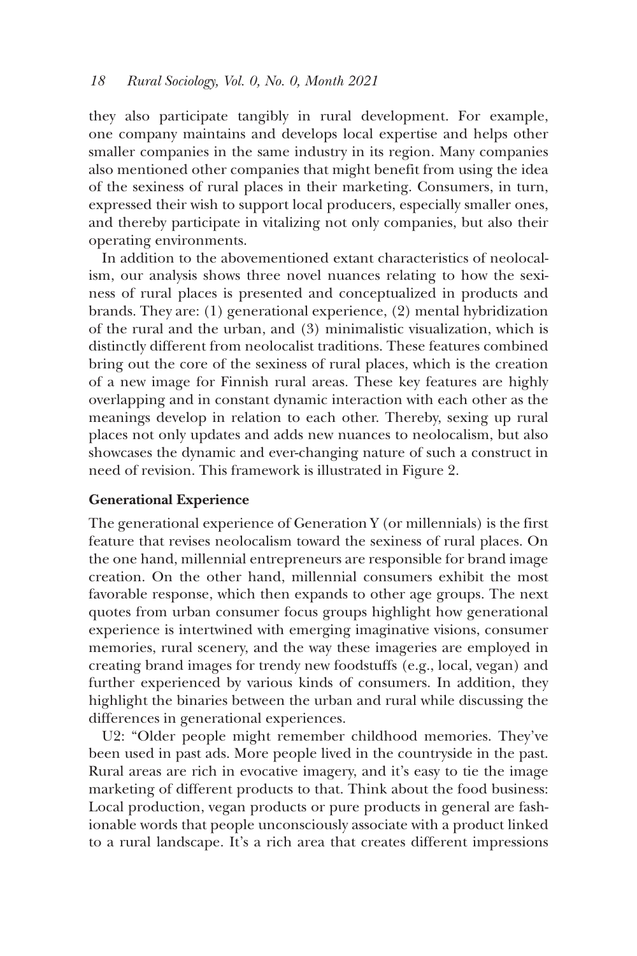they also participate tangibly in rural development. For example, one company maintains and develops local expertise and helps other smaller companies in the same industry in its region. Many companies also mentioned other companies that might benefit from using the idea of the sexiness of rural places in their marketing. Consumers, in turn, expressed their wish to support local producers, especially smaller ones, and thereby participate in vitalizing not only companies, but also their operating environments.

In addition to the abovementioned extant characteristics of neolocalism, our analysis shows three novel nuances relating to how the sexiness of rural places is presented and conceptualized in products and brands. They are: (1) generational experience, (2) mental hybridization of the rural and the urban, and (3) minimalistic visualization, which is distinctly different from neolocalist traditions. These features combined bring out the core of the sexiness of rural places, which is the creation of a new image for Finnish rural areas. These key features are highly overlapping and in constant dynamic interaction with each other as the meanings develop in relation to each other. Thereby, sexing up rural places not only updates and adds new nuances to neolocalism, but also showcases the dynamic and ever-changing nature of such a construct in need of revision. This framework is illustrated in Figure 2.

#### **Generational Experience**

The generational experience of Generation Y (or millennials) is the first feature that revises neolocalism toward the sexiness of rural places. On the one hand, millennial entrepreneurs are responsible for brand image creation. On the other hand, millennial consumers exhibit the most favorable response, which then expands to other age groups. The next quotes from urban consumer focus groups highlight how generational experience is intertwined with emerging imaginative visions, consumer memories, rural scenery, and the way these imageries are employed in creating brand images for trendy new foodstuffs (e.g., local, vegan) and further experienced by various kinds of consumers. In addition, they highlight the binaries between the urban and rural while discussing the differences in generational experiences.

U2: "Older people might remember childhood memories. They've been used in past ads. More people lived in the countryside in the past. Rural areas are rich in evocative imagery, and it's easy to tie the image marketing of different products to that. Think about the food business: Local production, vegan products or pure products in general are fashionable words that people unconsciously associate with a product linked to a rural landscape. It's a rich area that creates different impressions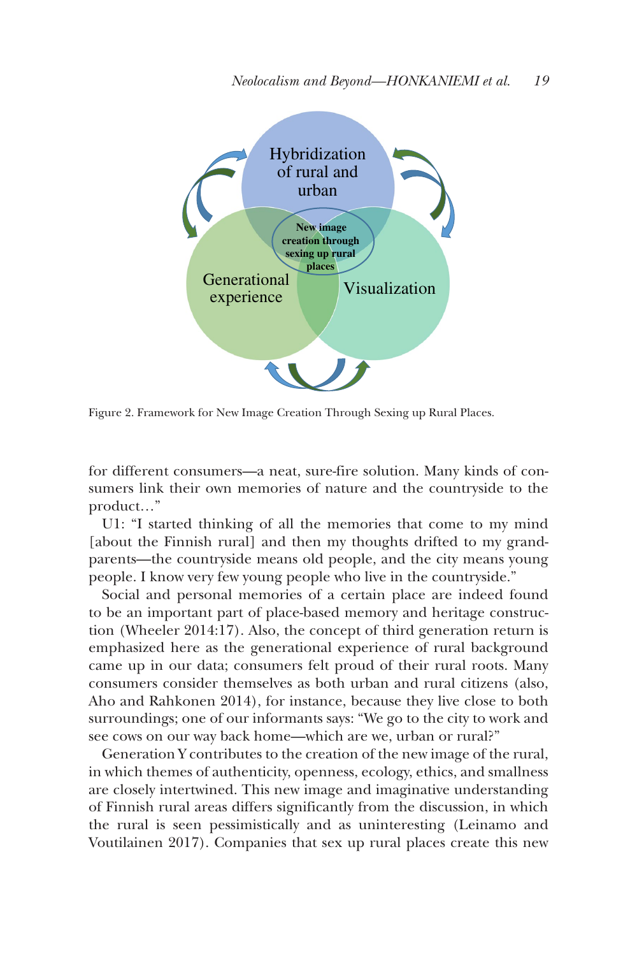

Figure 2. Framework for New Image Creation Through Sexing up Rural Places.

for different consumers—a neat, sure-fire solution. Many kinds of consumers link their own memories of nature and the countryside to the product…"

U1: "I started thinking of all the memories that come to my mind [about the Finnish rural] and then my thoughts drifted to my grandparents—the countryside means old people, and the city means young people. I know very few young people who live in the countryside."

Social and personal memories of a certain place are indeed found to be an important part of place-based memory and heritage construction (Wheeler 2014:17). Also, the concept of third generation return is emphasized here as the generational experience of rural background came up in our data; consumers felt proud of their rural roots. Many consumers consider themselves as both urban and rural citizens (also, Aho and Rahkonen 2014), for instance, because they live close to both surroundings; one of our informants says: "We go to the city to work and see cows on our way back home—which are we, urban or rural?"

Generation Y contributes to the creation of the new image of the rural, in which themes of authenticity, openness, ecology, ethics, and smallness are closely intertwined. This new image and imaginative understanding of Finnish rural areas differs significantly from the discussion, in which the rural is seen pessimistically and as uninteresting (Leinamo and Voutilainen 2017). Companies that sex up rural places create this new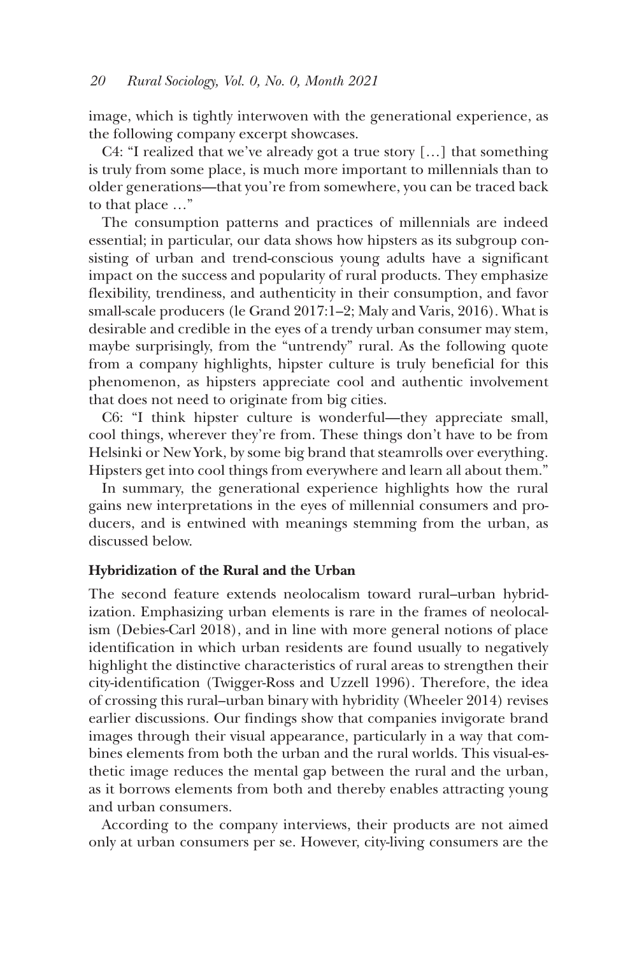image, which is tightly interwoven with the generational experience, as the following company excerpt showcases.

C4: "I realized that we've already got a true story […] that something is truly from some place, is much more important to millennials than to older generations—that you're from somewhere, you can be traced back to that place …"

The consumption patterns and practices of millennials are indeed essential; in particular, our data shows how hipsters as its subgroup consisting of urban and trend-conscious young adults have a significant impact on the success and popularity of rural products. They emphasize flexibility, trendiness, and authenticity in their consumption, and favor small-scale producers (le Grand 2017:1–2; Maly and Varis, 2016). What is desirable and credible in the eyes of a trendy urban consumer may stem, maybe surprisingly, from the "untrendy" rural. As the following quote from a company highlights, hipster culture is truly beneficial for this phenomenon, as hipsters appreciate cool and authentic involvement that does not need to originate from big cities.

C6: "I think hipster culture is wonderful—they appreciate small, cool things, wherever they're from. These things don't have to be from Helsinki or New York, by some big brand that steamrolls over everything. Hipsters get into cool things from everywhere and learn all about them."

In summary, the generational experience highlights how the rural gains new interpretations in the eyes of millennial consumers and producers, and is entwined with meanings stemming from the urban, as discussed below.

### **Hybridization of the Rural and the Urban**

The second feature extends neolocalism toward rural–urban hybridization. Emphasizing urban elements is rare in the frames of neolocalism (Debies-Carl 2018), and in line with more general notions of place identification in which urban residents are found usually to negatively highlight the distinctive characteristics of rural areas to strengthen their city-identification (Twigger-Ross and Uzzell 1996). Therefore, the idea of crossing this rural–urban binary with hybridity (Wheeler 2014) revises earlier discussions. Our findings show that companies invigorate brand images through their visual appearance, particularly in a way that combines elements from both the urban and the rural worlds. This visual-esthetic image reduces the mental gap between the rural and the urban, as it borrows elements from both and thereby enables attracting young and urban consumers.

According to the company interviews, their products are not aimed only at urban consumers per se. However, city-living consumers are the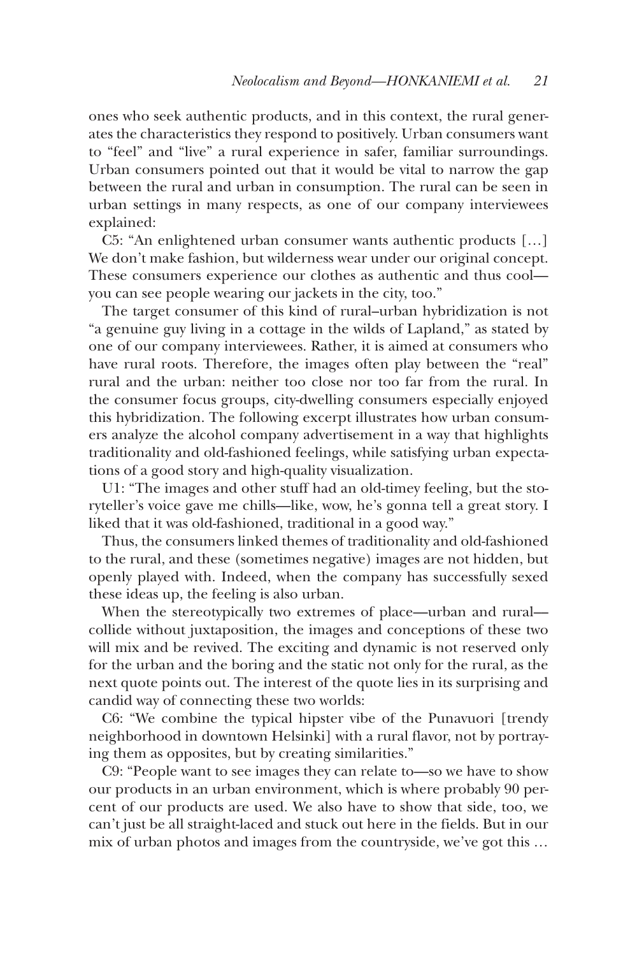ones who seek authentic products, and in this context, the rural generates the characteristics they respond to positively. Urban consumers want to "feel" and "live" a rural experience in safer, familiar surroundings. Urban consumers pointed out that it would be vital to narrow the gap between the rural and urban in consumption. The rural can be seen in urban settings in many respects, as one of our company interviewees explained:

C5: "An enlightened urban consumer wants authentic products […] We don't make fashion, but wilderness wear under our original concept. These consumers experience our clothes as authentic and thus cool you can see people wearing our jackets in the city, too."

The target consumer of this kind of rural–urban hybridization is not "a genuine guy living in a cottage in the wilds of Lapland," as stated by one of our company interviewees. Rather, it is aimed at consumers who have rural roots. Therefore, the images often play between the "real" rural and the urban: neither too close nor too far from the rural. In the consumer focus groups, city-dwelling consumers especially enjoyed this hybridization. The following excerpt illustrates how urban consumers analyze the alcohol company advertisement in a way that highlights traditionality and old-fashioned feelings, while satisfying urban expectations of a good story and high-quality visualization.

U1: "The images and other stuff had an old-timey feeling, but the storyteller's voice gave me chills—like, wow, he's gonna tell a great story. I liked that it was old-fashioned, traditional in a good way."

Thus, the consumers linked themes of traditionality and old-fashioned to the rural, and these (sometimes negative) images are not hidden, but openly played with. Indeed, when the company has successfully sexed these ideas up, the feeling is also urban.

When the stereotypically two extremes of place—urban and rural collide without juxtaposition, the images and conceptions of these two will mix and be revived. The exciting and dynamic is not reserved only for the urban and the boring and the static not only for the rural, as the next quote points out. The interest of the quote lies in its surprising and candid way of connecting these two worlds:

C6: "We combine the typical hipster vibe of the Punavuori [trendy neighborhood in downtown Helsinki] with a rural flavor, not by portraying them as opposites, but by creating similarities."

C9: "People want to see images they can relate to—so we have to show our products in an urban environment, which is where probably 90 percent of our products are used. We also have to show that side, too, we can't just be all straight-laced and stuck out here in the fields. But in our mix of urban photos and images from the countryside, we've got this …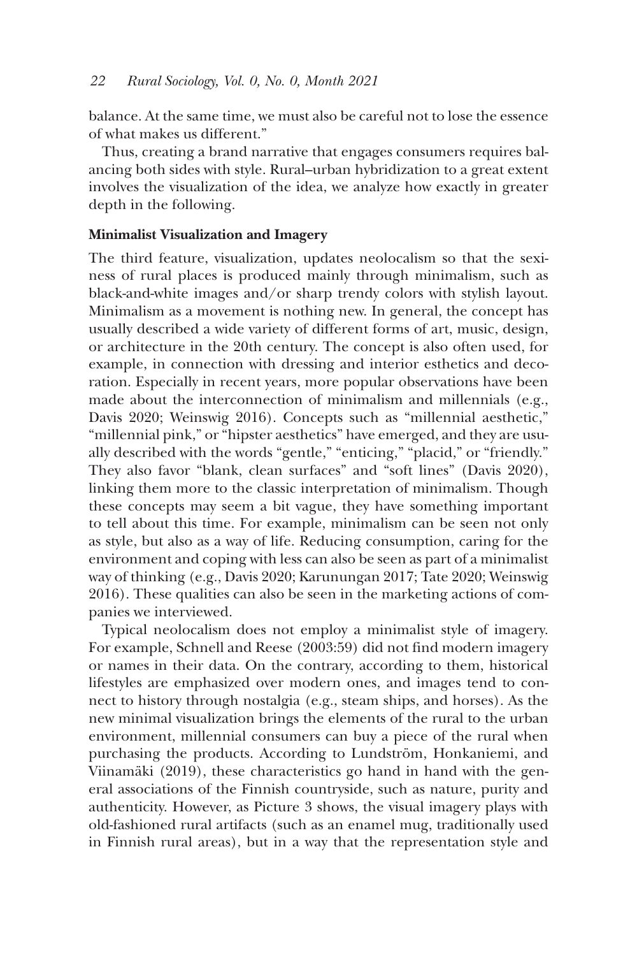balance. At the same time, we must also be careful not to lose the essence of what makes us different."

Thus, creating a brand narrative that engages consumers requires balancing both sides with style. Rural–urban hybridization to a great extent involves the visualization of the idea, we analyze how exactly in greater depth in the following.

## **Minimalist Visualization and Imagery**

The third feature, visualization, updates neolocalism so that the sexiness of rural places is produced mainly through minimalism, such as black-and-white images and/or sharp trendy colors with stylish layout. Minimalism as a movement is nothing new. In general, the concept has usually described a wide variety of different forms of art, music, design, or architecture in the 20th century. The concept is also often used, for example, in connection with dressing and interior esthetics and decoration. Especially in recent years, more popular observations have been made about the interconnection of minimalism and millennials (e.g., Davis 2020; Weinswig 2016). Concepts such as "millennial aesthetic," "millennial pink," or "hipster aesthetics" have emerged, and they are usually described with the words "gentle," "enticing," "placid," or "friendly." They also favor "blank, clean surfaces" and "soft lines" (Davis 2020), linking them more to the classic interpretation of minimalism. Though these concepts may seem a bit vague, they have something important to tell about this time. For example, minimalism can be seen not only as style, but also as a way of life. Reducing consumption, caring for the environment and coping with less can also be seen as part of a minimalist way of thinking (e.g., Davis 2020; Karunungan 2017; Tate 2020; Weinswig 2016). These qualities can also be seen in the marketing actions of companies we interviewed.

Typical neolocalism does not employ a minimalist style of imagery. For example, Schnell and Reese (2003:59) did not find modern imagery or names in their data. On the contrary, according to them, historical lifestyles are emphasized over modern ones, and images tend to connect to history through nostalgia (e.g., steam ships, and horses). As the new minimal visualization brings the elements of the rural to the urban environment, millennial consumers can buy a piece of the rural when purchasing the products. According to Lundström, Honkaniemi, and Viinamäki (2019), these characteristics go hand in hand with the general associations of the Finnish countryside, such as nature, purity and authenticity. However, as Picture 3 shows, the visual imagery plays with old-fashioned rural artifacts (such as an enamel mug, traditionally used in Finnish rural areas), but in a way that the representation style and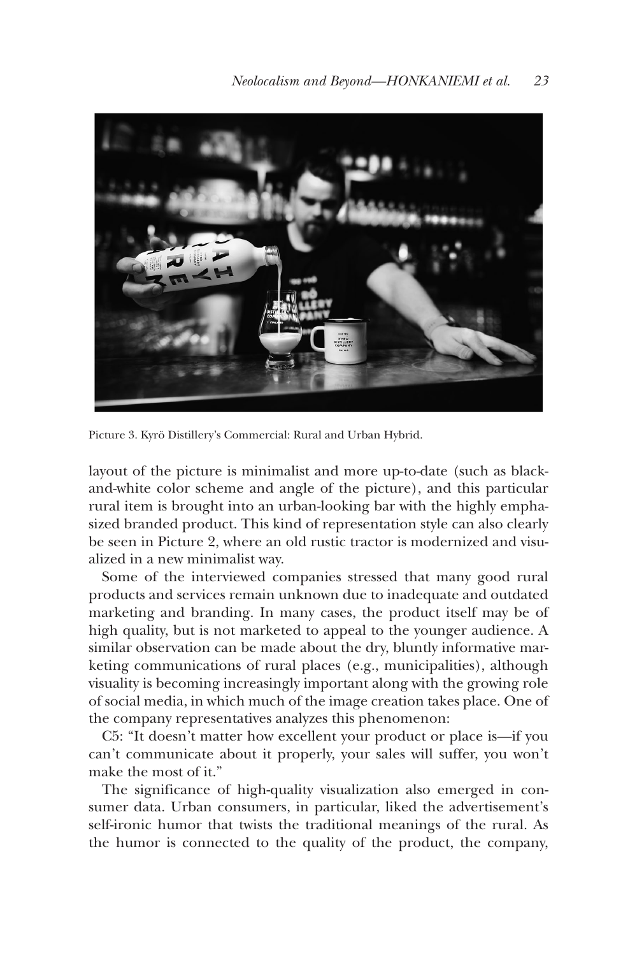

Picture 3. Kyrö Distillery's Commercial: Rural and Urban Hybrid.

layout of the picture is minimalist and more up-to-date (such as blackand-white color scheme and angle of the picture), and this particular rural item is brought into an urban-looking bar with the highly emphasized branded product. This kind of representation style can also clearly be seen in Picture 2, where an old rustic tractor is modernized and visualized in a new minimalist way.

Some of the interviewed companies stressed that many good rural products and services remain unknown due to inadequate and outdated marketing and branding. In many cases, the product itself may be of high quality, but is not marketed to appeal to the younger audience. A similar observation can be made about the dry, bluntly informative marketing communications of rural places (e.g., municipalities), although visuality is becoming increasingly important along with the growing role of social media, in which much of the image creation takes place. One of the company representatives analyzes this phenomenon:

C5: "It doesn't matter how excellent your product or place is—if you can't communicate about it properly, your sales will suffer, you won't make the most of it."

The significance of high-quality visualization also emerged in consumer data. Urban consumers, in particular, liked the advertisement's self-ironic humor that twists the traditional meanings of the rural. As the humor is connected to the quality of the product, the company,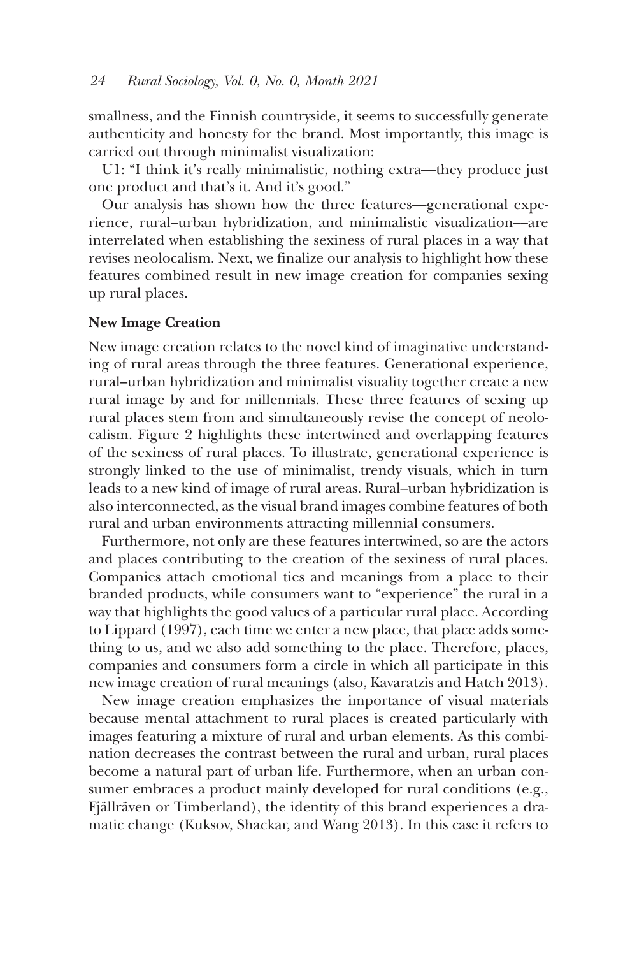smallness, and the Finnish countryside, it seems to successfully generate authenticity and honesty for the brand. Most importantly, this image is carried out through minimalist visualization:

U1: "I think it's really minimalistic, nothing extra—they produce just one product and that's it. And it's good."

Our analysis has shown how the three features––generational experience, rural–urban hybridization, and minimalistic visualization––are interrelated when establishing the sexiness of rural places in a way that revises neolocalism. Next, we finalize our analysis to highlight how these features combined result in new image creation for companies sexing up rural places.

### **New Image Creation**

New image creation relates to the novel kind of imaginative understanding of rural areas through the three features. Generational experience, rural–urban hybridization and minimalist visuality together create a new rural image by and for millennials. These three features of sexing up rural places stem from and simultaneously revise the concept of neolocalism. Figure 2 highlights these intertwined and overlapping features of the sexiness of rural places. To illustrate, generational experience is strongly linked to the use of minimalist, trendy visuals, which in turn leads to a new kind of image of rural areas. Rural–urban hybridization is also interconnected, as the visual brand images combine features of both rural and urban environments attracting millennial consumers.

Furthermore, not only are these features intertwined, so are the actors and places contributing to the creation of the sexiness of rural places. Companies attach emotional ties and meanings from a place to their branded products, while consumers want to "experience" the rural in a way that highlights the good values of a particular rural place. According to Lippard (1997), each time we enter a new place, that place adds something to us, and we also add something to the place. Therefore, places, companies and consumers form a circle in which all participate in this new image creation of rural meanings (also, Kavaratzis and Hatch 2013).

New image creation emphasizes the importance of visual materials because mental attachment to rural places is created particularly with images featuring a mixture of rural and urban elements. As this combination decreases the contrast between the rural and urban, rural places become a natural part of urban life. Furthermore, when an urban consumer embraces a product mainly developed for rural conditions (e.g., Fjällräven or Timberland), the identity of this brand experiences a dramatic change (Kuksov, Shackar, and Wang 2013). In this case it refers to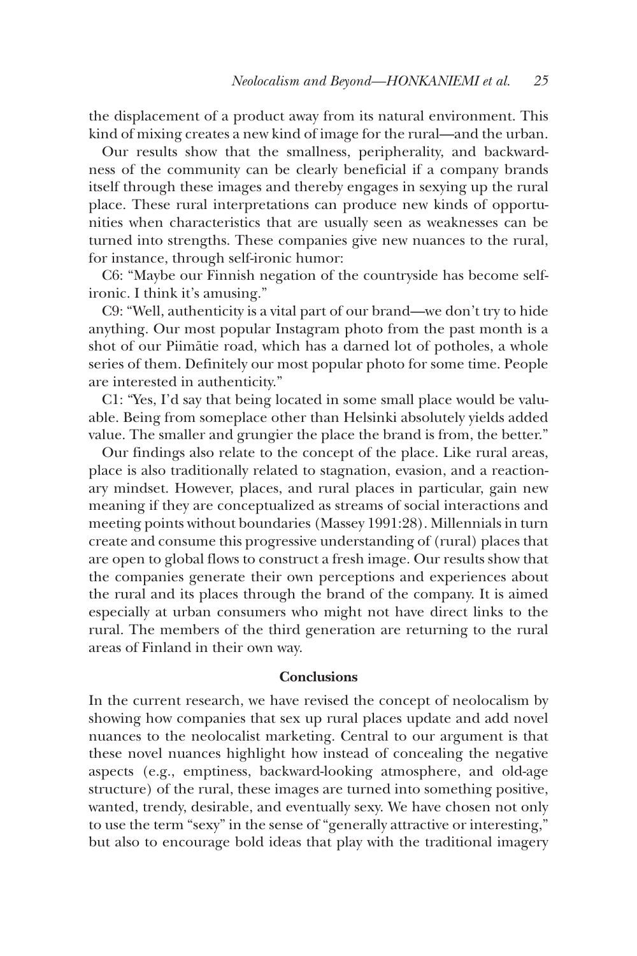the displacement of a product away from its natural environment. This kind of mixing creates a new kind of image for the rural—and the urban.

Our results show that the smallness, peripherality, and backwardness of the community can be clearly beneficial if a company brands itself through these images and thereby engages in sexying up the rural place. These rural interpretations can produce new kinds of opportunities when characteristics that are usually seen as weaknesses can be turned into strengths. These companies give new nuances to the rural, for instance, through self-ironic humor:

C6: "Maybe our Finnish negation of the countryside has become selfironic. I think it's amusing."

C9: "Well, authenticity is a vital part of our brand—we don't try to hide anything. Our most popular Instagram photo from the past month is a shot of our Piimätie road, which has a darned lot of potholes, a whole series of them. Definitely our most popular photo for some time. People are interested in authenticity."

C1: "Yes, I'd say that being located in some small place would be valuable. Being from someplace other than Helsinki absolutely yields added value. The smaller and grungier the place the brand is from, the better."

Our findings also relate to the concept of the place. Like rural areas, place is also traditionally related to stagnation, evasion, and a reactionary mindset. However, places, and rural places in particular, gain new meaning if they are conceptualized as streams of social interactions and meeting points without boundaries (Massey 1991:28). Millennials in turn create and consume this progressive understanding of (rural) places that are open to global flows to construct a fresh image. Our results show that the companies generate their own perceptions and experiences about the rural and its places through the brand of the company. It is aimed especially at urban consumers who might not have direct links to the rural. The members of the third generation are returning to the rural areas of Finland in their own way.

## **Conclusions**

In the current research, we have revised the concept of neolocalism by showing how companies that sex up rural places update and add novel nuances to the neolocalist marketing. Central to our argument is that these novel nuances highlight how instead of concealing the negative aspects (e.g., emptiness, backward-looking atmosphere, and old-age structure) of the rural, these images are turned into something positive, wanted, trendy, desirable, and eventually sexy. We have chosen not only to use the term "sexy" in the sense of "generally attractive or interesting," but also to encourage bold ideas that play with the traditional imagery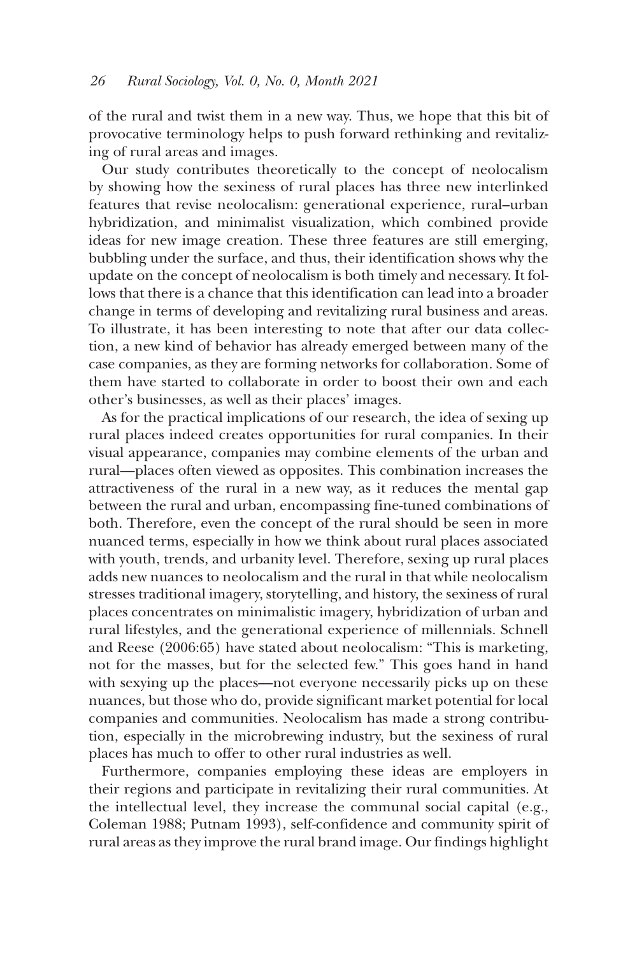of the rural and twist them in a new way. Thus, we hope that this bit of provocative terminology helps to push forward rethinking and revitalizing of rural areas and images.

Our study contributes theoretically to the concept of neolocalism by showing how the sexiness of rural places has three new interlinked features that revise neolocalism: generational experience, rural–urban hybridization, and minimalist visualization, which combined provide ideas for new image creation. These three features are still emerging, bubbling under the surface, and thus, their identification shows why the update on the concept of neolocalism is both timely and necessary. It follows that there is a chance that this identification can lead into a broader change in terms of developing and revitalizing rural business and areas. To illustrate, it has been interesting to note that after our data collection, a new kind of behavior has already emerged between many of the case companies, as they are forming networks for collaboration. Some of them have started to collaborate in order to boost their own and each other's businesses, as well as their places' images.

As for the practical implications of our research, the idea of sexing up rural places indeed creates opportunities for rural companies. In their visual appearance, companies may combine elements of the urban and rural––places often viewed as opposites. This combination increases the attractiveness of the rural in a new way, as it reduces the mental gap between the rural and urban, encompassing fine-tuned combinations of both. Therefore, even the concept of the rural should be seen in more nuanced terms, especially in how we think about rural places associated with youth, trends, and urbanity level. Therefore, sexing up rural places adds new nuances to neolocalism and the rural in that while neolocalism stresses traditional imagery, storytelling, and history, the sexiness of rural places concentrates on minimalistic imagery, hybridization of urban and rural lifestyles, and the generational experience of millennials. Schnell and Reese (2006:65) have stated about neolocalism: "This is marketing, not for the masses, but for the selected few." This goes hand in hand with sexying up the places—not everyone necessarily picks up on these nuances, but those who do, provide significant market potential for local companies and communities. Neolocalism has made a strong contribution, especially in the microbrewing industry, but the sexiness of rural places has much to offer to other rural industries as well.

Furthermore, companies employing these ideas are employers in their regions and participate in revitalizing their rural communities. At the intellectual level, they increase the communal social capital (e.g., Coleman 1988; Putnam 1993), self-confidence and community spirit of rural areas as they improve the rural brand image. Our findings highlight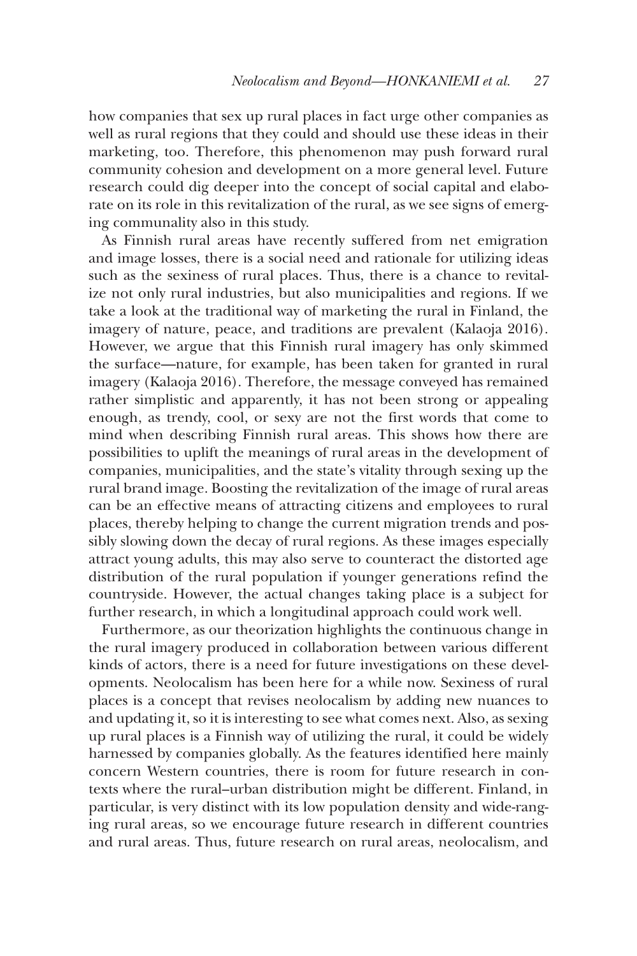how companies that sex up rural places in fact urge other companies as well as rural regions that they could and should use these ideas in their marketing, too. Therefore, this phenomenon may push forward rural community cohesion and development on a more general level. Future research could dig deeper into the concept of social capital and elaborate on its role in this revitalization of the rural, as we see signs of emerging communality also in this study.

As Finnish rural areas have recently suffered from net emigration and image losses, there is a social need and rationale for utilizing ideas such as the sexiness of rural places. Thus, there is a chance to revitalize not only rural industries, but also municipalities and regions. If we take a look at the traditional way of marketing the rural in Finland, the imagery of nature, peace, and traditions are prevalent (Kalaoja 2016). However, we argue that this Finnish rural imagery has only skimmed the surface—nature, for example, has been taken for granted in rural imagery (Kalaoja 2016). Therefore, the message conveyed has remained rather simplistic and apparently, it has not been strong or appealing enough, as trendy, cool, or sexy are not the first words that come to mind when describing Finnish rural areas. This shows how there are possibilities to uplift the meanings of rural areas in the development of companies, municipalities, and the state's vitality through sexing up the rural brand image. Boosting the revitalization of the image of rural areas can be an effective means of attracting citizens and employees to rural places, thereby helping to change the current migration trends and possibly slowing down the decay of rural regions. As these images especially attract young adults, this may also serve to counteract the distorted age distribution of the rural population if younger generations refind the countryside. However, the actual changes taking place is a subject for further research, in which a longitudinal approach could work well.

Furthermore, as our theorization highlights the continuous change in the rural imagery produced in collaboration between various different kinds of actors, there is a need for future investigations on these developments. Neolocalism has been here for a while now. Sexiness of rural places is a concept that revises neolocalism by adding new nuances to and updating it, so it is interesting to see what comes next. Also, as sexing up rural places is a Finnish way of utilizing the rural, it could be widely harnessed by companies globally. As the features identified here mainly concern Western countries, there is room for future research in contexts where the rural–urban distribution might be different. Finland, in particular, is very distinct with its low population density and wide-ranging rural areas, so we encourage future research in different countries and rural areas. Thus, future research on rural areas, neolocalism, and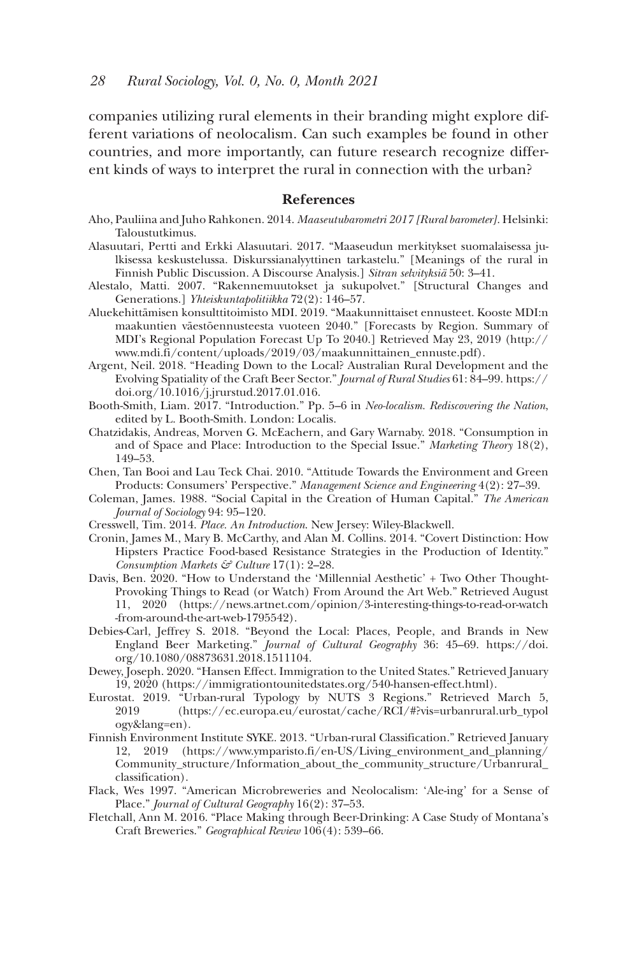companies utilizing rural elements in their branding might explore different variations of neolocalism. Can such examples be found in other countries, and more importantly, can future research recognize different kinds of ways to interpret the rural in connection with the urban?

#### **References**

- Aho, Pauliina and Juho Rahkonen. 2014. *Maaseutubarometri 2017 [Rural barometer]*. Helsinki: Taloustutkimus.
- Alasuutari, Pertti and Erkki Alasuutari. 2017. "Maaseudun merkitykset suomalaisessa julkisessa keskustelussa. Diskurssianalyyttinen tarkastelu." [Meanings of the rural in Finnish Public Discussion. A Discourse Analysis.] *Sitran selvityksiä* 50: 3–41.
- Alestalo, Matti. 2007. "Rakennemuutokset ja sukupolvet." [Structural Changes and Generations.] *Yhteiskuntapolitiikka* 72(2): 146–57.
- Aluekehittämisen konsulttitoimisto MDI. 2019. "Maakunnittaiset ennusteet. Kooste MDI:n maakuntien väestöennusteesta vuoteen 2040." [Forecasts by Region. Summary of MDI's Regional Population Forecast Up To 2040.] Retrieved May 23, 2019 (http:// www.mdi.fi/content/uploads/2019/03/maakunnittainen\_ennuste.pdf).
- Argent, Neil. 2018. "Heading Down to the Local? Australian Rural Development and the Evolving Spatiality of the Craft Beer Sector." *Journal of Rural Studies* 61: 84–99. https:// doi.org/10.1016/j.jrurstud.2017.01.016.
- Booth-Smith, Liam. 2017. "Introduction." Pp. 5–6 in *Neo-localism. Rediscovering the Nation*, edited by L. Booth-Smith. London: Localis.
- Chatzidakis, Andreas, Morven G. McEachern, and Gary Warnaby. 2018. "Consumption in and of Space and Place: Introduction to the Special Issue." *Marketing Theory* 18(2), 149–53.
- Chen, Tan Booi and Lau Teck Chai. 2010. "Attitude Towards the Environment and Green Products: Consumers' Perspective." *Management Science and Engineering* 4(2): 27–39.
- Coleman, James. 1988. "Social Capital in the Creation of Human Capital." *The American Journal of Sociology* 94: 95–120.
- Cresswell, Tim. 2014. *Place. An Introduction*. New Jersey: Wiley-Blackwell.
- Cronin, James M., Mary B. McCarthy, and Alan M. Collins. 2014. "Covert Distinction: How Hipsters Practice Food-based Resistance Strategies in the Production of Identity." *Consumption Markets & Culture* 17(1): 2–28.
- Davis, Ben. 2020. "How to Understand the 'Millennial Aesthetic' + Two Other Thought-Provoking Things to Read (or Watch) From Around the Art Web." Retrieved August 11, 2020 (https://news.artnet.com/opinion/3-interesting-things-to-read-or-watch -from-around-the-art-web-1795542).
- Debies-Carl, Jeffrey S. 2018. "Beyond the Local: Places, People, and Brands in New England Beer Marketing." *Journal of Cultural Geography* 36: 45–69. https://doi. org/10.1080/08873631.2018.1511104.
- Dewey, Joseph. 2020. "Hansen Effect. Immigration to the United States." Retrieved January 19, 2020 (https://immigrationtounitedstates.org/540-hansen-effect.html).
- Eurostat. 2019. "Urban-rural Typology by NUTS 3 Regions." Retrieved March 5, 2019 (https://ec.europa.eu/eurostat/cache/RCI/#?vis=urbanrural.urb\_typol ogy&lang=en).
- Finnish Environment Institute SYKE. 2013. "Urban-rural Classification." Retrieved January 12, 2019 (https://www.ymparisto.fi/en-US/Living\_environment\_and\_planning/ Community\_structure/Information\_about\_the\_community\_structure/Urbanrural\_ classification).
- Flack, Wes 1997. "American Microbreweries and Neolocalism: 'Ale-ing' for a Sense of Place." *Journal of Cultural Geography* 16(2): 37–53.
- Fletchall, Ann M. 2016. "Place Making through Beer-Drinking: A Case Study of Montana's Craft Breweries." *Geographical Review* 106(4): 539–66.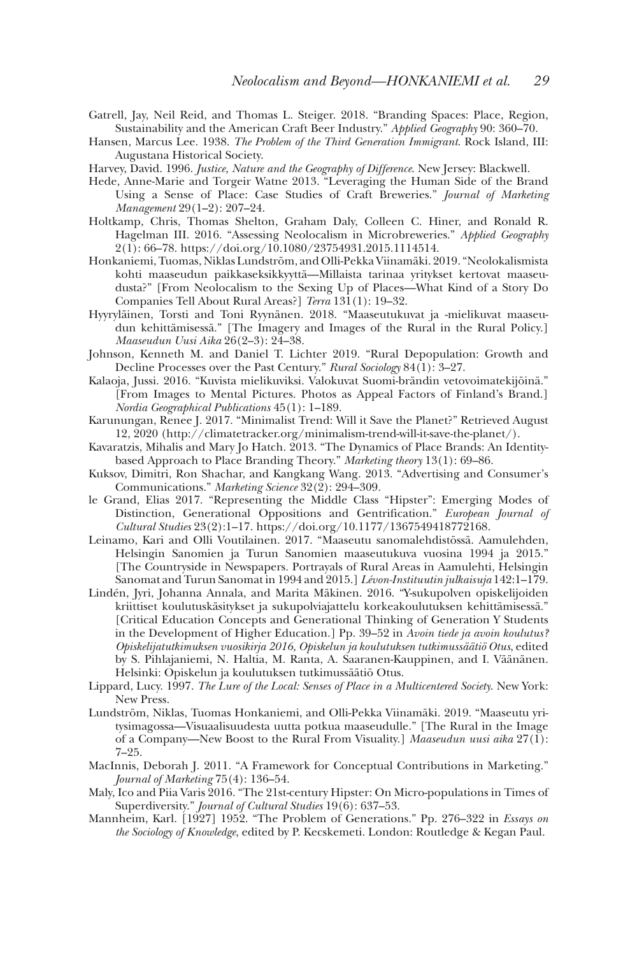- Gatrell, Jay, Neil Reid, and Thomas L. Steiger. 2018. "Branding Spaces: Place, Region, Sustainability and the American Craft Beer Industry." *Applied Geography* 90: 360–70.
- Hansen, Marcus Lee. 1938. *The Problem of the Third Generation Immigrant*. Rock Island, III: Augustana Historical Society.
- Harvey, David. 1996. *Justice, Nature and the Geography of Difference*. New Jersey: Blackwell.
- Hede, Anne-Marie and Torgeir Watne 2013. "Leveraging the Human Side of the Brand Using a Sense of Place: Case Studies of Craft Breweries." *Journal of Marketing Management* 29(1–2): 207–24.
- Holtkamp, Chris, Thomas Shelton, Graham Daly, Colleen C. Hiner, and Ronald R. Hagelman III. 2016. "Assessing Neolocalism in Microbreweries." *Applied Geography* 2(1): 66–78. https://doi.org/10.1080/23754931.2015.1114514.
- Honkaniemi, Tuomas, Niklas Lundström, and Olli-Pekka Viinamäki. 2019. "Neolokalismista kohti maaseudun paikkaseksikkyyttä—Millaista tarinaa yritykset kertovat maaseudusta?" [From Neolocalism to the Sexing Up of Places—What Kind of a Story Do Companies Tell About Rural Areas?] *Terra* 131(1): 19–32.
- Hyyryläinen, Torsti and Toni Ryynänen. 2018. "Maaseutukuvat ja -mielikuvat maaseudun kehittämisessä." [The Imagery and Images of the Rural in the Rural Policy.] *Maaseudun Uusi Aika* 26(2–3): 24–38.
- Johnson, Kenneth M. and Daniel T. Lichter 2019. "Rural Depopulation: Growth and Decline Processes over the Past Century." *Rural Sociology* 84(1): 3–27.
- Kalaoja, Jussi. 2016. "Kuvista mielikuviksi. Valokuvat Suomi-brändin vetovoimatekijöinä." [From Images to Mental Pictures. Photos as Appeal Factors of Finland's Brand.] *Nordia Geographical Publications* 45(1): 1–189.
- Karunungan, Renee J. 2017. "Minimalist Trend: Will it Save the Planet?" Retrieved August 12, 2020 (http://climatetracker.org/minimalism-trend-will-it-save-the-planet/).
- Kavaratzis, Mihalis and Mary Jo Hatch. 2013. "The Dynamics of Place Brands: An Identitybased Approach to Place Branding Theory." *Marketing theory* 13(1): 69–86.
- Kuksov, Dimitri, Ron Shachar, and Kangkang Wang. 2013. "Advertising and Consumer's Communications." *Marketing Science* 32(2): 294–309.
- le Grand, Elias 2017. "Representing the Middle Class "Hipster": Emerging Modes of Distinction, Generational Oppositions and Gentrification." *European Journal of Cultural Studies* 23(2):1–17. https://doi.org/10.1177/1367549418772168.
- Leinamo, Kari and Olli Voutilainen. 2017. "Maaseutu sanomalehdistössä. Aamulehden, Helsingin Sanomien ja Turun Sanomien maaseutukuva vuosina 1994 ja 2015." [The Countryside in Newspapers. Portrayals of Rural Areas in Aamulehti, Helsingin Sanomat and Turun Sanomat in 1994 and 2015.] *Lévon-Instituutin julkaisuja* 142:1–179.
- Lindén, Jyri, Johanna Annala, and Marita Mäkinen. 2016. "Y-sukupolven opiskelijoiden kriittiset koulutuskäsitykset ja sukupolviajattelu korkeakoulutuksen kehittämisessä." [Critical Education Concepts and Generational Thinking of Generation Y Students in the Development of Higher Education.] Pp. 39–52 in *Avoin tiede ja avoin koulutus? Opiskelijatutkimuksen vuosikirja 2016, Opiskelun ja koulutuksen tutkimussäätiö Otus*, edited by S. Pihlajaniemi, N. Haltia, M. Ranta, A. Saaranen-Kauppinen, and I. Väänänen. Helsinki: Opiskelun ja koulutuksen tutkimussäätiö Otus.
- Lippard, Lucy. 1997. *The Lure of the Local: Senses of Place in a Multicentered Society*. New York: New Press.
- Lundström, Niklas, Tuomas Honkaniemi, and Olli-Pekka Viinamäki. 2019. "Maaseutu yritysimagossa—Visuaalisuudesta uutta potkua maaseudulle." [The Rural in the Image of a Company—New Boost to the Rural From Visuality.] *Maaseudun uusi aika* 27(1): 7–25.
- MacInnis, Deborah J. 2011. "A Framework for Conceptual Contributions in Marketing." *Journal of Marketing* 75(4): 136–54.
- Maly, Ico and Piia Varis 2016. "The 21st-century Hipster: On Micro-populations in Times of Superdiversity." *Journal of Cultural Studies* 19(6): 637–53.
- Mannheim, Karl. [1927] 1952. "The Problem of Generations." Pp. 276–322 in *Essays on the Sociology of Knowledge*, edited by P. Kecskemeti. London: Routledge & Kegan Paul.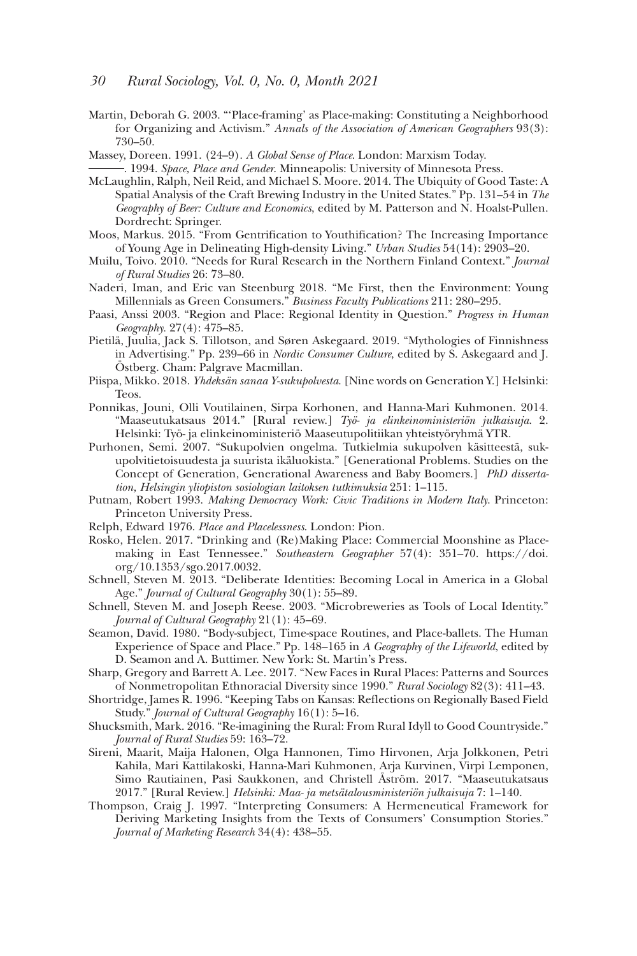- Martin, Deborah G. 2003. "'Place-framing' as Place-making: Constituting a Neighborhood for Organizing and Activism." *Annals of the Association of American Geographers* 93(3): 730–50.
- Massey, Doreen. 1991. (24–9). *A Global Sense of Place*. London: Marxism Today. . 1994. *Space, Place and Gender*. Minneapolis: University of Minnesota Press.
- 
- McLaughlin, Ralph, Neil Reid, and Michael S. Moore. 2014. The Ubiquity of Good Taste: A Spatial Analysis of the Craft Brewing Industry in the United States." Pp. 131–54 in *The Geography of Beer: Culture and Economics*, edited by M. Patterson and N. Hoalst-Pullen. Dordrecht: Springer.
- Moos, Markus. 2015. "From Gentrification to Youthification? The Increasing Importance of Young Age in Delineating High-density Living." *Urban Studies* 54(14): 2903–20.
- Muilu, Toivo. 2010. "Needs for Rural Research in the Northern Finland Context." *Journal of Rural Studies* 26: 73–80.
- Naderi, Iman, and Eric van Steenburg 2018. "Me First, then the Environment: Young Millennials as Green Consumers." *Business Faculty Publications* 211: 280–295.
- Paasi, Anssi 2003. "Region and Place: Regional Identity in Question." *Progress in Human Geography.* 27(4): 475–85.
- Pietilä, Juulia, Jack S. Tillotson, and Søren Askegaard. 2019. "Mythologies of Finnishness in Advertising." Pp. 239–66 in *Nordic Consumer Culture*, edited by S. Askegaard and J. Östberg. Cham: Palgrave Macmillan.
- Piispa, Mikko. 2018. *Yhdeksän sanaa Y-sukupolvesta*. [Nine words on Generation Y.] Helsinki: Teos.
- Ponnikas, Jouni, Olli Voutilainen, Sirpa Korhonen, and Hanna-Mari Kuhmonen. 2014. "Maaseutukatsaus 2014." [Rural review.] *Työ- ja elinkeinoministeriön julkaisuja*. 2. Helsinki: Työ- ja elinkeinoministeriö Maaseutupolitiikan yhteistyöryhmä YTR.
- Purhonen, Semi. 2007. "Sukupolvien ongelma. Tutkielmia sukupolven käsitteestä, sukupolvitietoisuudesta ja suurista ikäluokista." [Generational Problems. Studies on the Concept of Generation, Generational Awareness and Baby Boomers.] *PhD dissertation, Helsingin yliopiston sosiologian laitoksen tutkimuksia* 251: 1–115.
- Putnam, Robert 1993. *Making Democracy Work: Civic Traditions in Modern Italy*. Princeton: Princeton University Press.
- Relph, Edward 1976. *Place and Placelessness*. London: Pion.
- Rosko, Helen. 2017. "Drinking and (Re)Making Place: Commercial Moonshine as Placemaking in East Tennessee." *Southeastern Geographer* 57(4): 351–70. https://doi. org/10.1353/sgo.2017.0032.
- Schnell, Steven M. 2013. "Deliberate Identities: Becoming Local in America in a Global Age." *Journal of Cultural Geography* 30(1): 55–89.
- Schnell, Steven M. and Joseph Reese. 2003. "Microbreweries as Tools of Local Identity." *Journal of Cultural Geography* 21(1): 45–69.
- Seamon, David. 1980. "Body-subject, Time-space Routines, and Place-ballets. The Human Experience of Space and Place." Pp. 148–165 in *A Geography of the Lifeworld*, edited by D. Seamon and A. Buttimer. New York: St. Martin's Press.
- Sharp, Gregory and Barrett A. Lee. 2017. "New Faces in Rural Places: Patterns and Sources of Nonmetropolitan Ethnoracial Diversity since 1990." *Rural Sociology* 82(3): 411–43.
- Shortridge, James R. 1996. "Keeping Tabs on Kansas: Reflections on Regionally Based Field Study." *Journal of Cultural Geography* 16(1): 5–16.
- Shucksmith, Mark. 2016. "Re-imagining the Rural: From Rural Idyll to Good Countryside." *Journal of Rural Studies* 59: 163–72.
- Sireni, Maarit, Maija Halonen, Olga Hannonen, Timo Hirvonen, Arja Jolkkonen, Petri Kahila, Mari Kattilakoski, Hanna-Mari Kuhmonen, Arja Kurvinen, Virpi Lemponen, Simo Rautiainen, Pasi Saukkonen, and Christell Åström. 2017. "Maaseutukatsaus 2017." [Rural Review.] *Helsinki: Maa- ja metsätalousministeriön julkaisuja* 7: 1–140.
- Thompson, Craig J. 1997. "Interpreting Consumers: A Hermeneutical Framework for Deriving Marketing Insights from the Texts of Consumers' Consumption Stories." *Journal of Marketing Research* 34(4): 438–55.